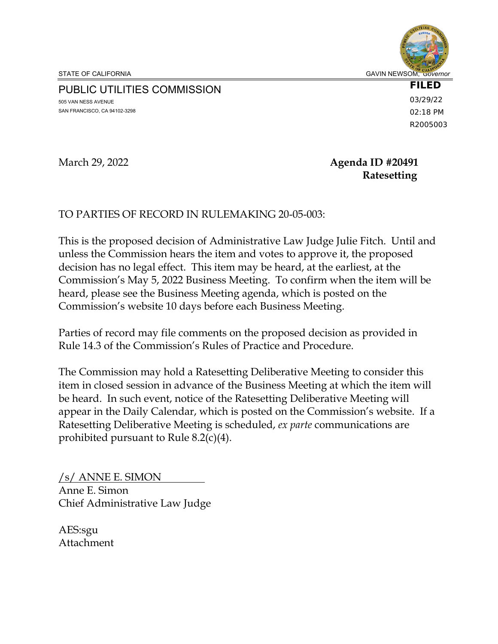PUBLIC UTILITIES COMMISSION

505 VAN NESS AVENUE SAN FRANCISCO, CA 94102-3298 **FILED** 03/29/22 02:18 PM R2005003

# March 29, 2022 **Agenda ID #20491 Ratesetting**

# TO PARTIES OF RECORD IN RULEMAKING 20-05-003:

This is the proposed decision of Administrative Law Judge Julie Fitch. Until and unless the Commission hears the item and votes to approve it, the proposed decision has no legal effect. This item may be heard, at the earliest, at the Commission's May 5, 2022 Business Meeting. To confirm when the item will be heard, please see the Business Meeting agenda, which is posted on the Commission's website 10 days before each Business Meeting.

Parties of record may file comments on the proposed decision as provided in Rule 14.3 of the Commission's Rules of Practice and Procedure.

The Commission may hold a Ratesetting Deliberative Meeting to consider this item in closed session in advance of the Business Meeting at which the item will be heard. In such event, notice of the Ratesetting Deliberative Meeting will appear in the Daily Calendar, which is posted on the Commission's website. If a Ratesetting Deliberative Meeting is scheduled, *ex parte* communications are prohibited pursuant to Rule 8.2(c)(4).

/s/ ANNE E. SIMON Anne E. Simon Chief Administrative Law Judge

AES:sgu Attachment

STATE OF CALIFORNIA GAVIN NEWSOM, Governor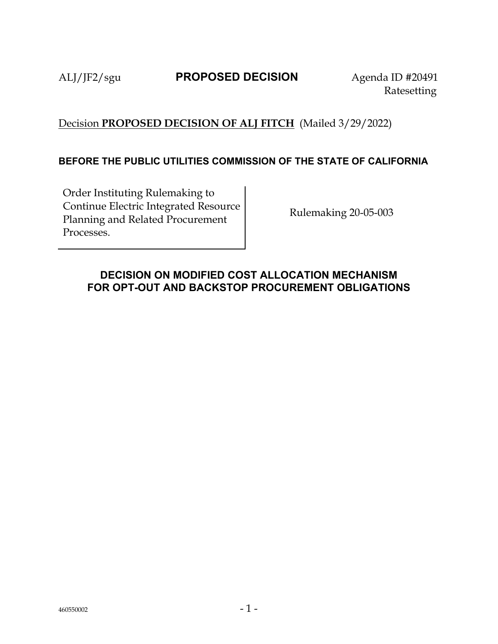# ALJ/JF2/sgu **PROPOSED DECISION** Agenda ID #20491

Ratesetting

# Decision **PROPOSED DECISION OF ALJ FITCH** (Mailed 3/29/2022)

## **BEFORE THE PUBLIC UTILITIES COMMISSION OF THE STATE OF CALIFORNIA**

Order Instituting Rulemaking to Continue Electric Integrated Resource Planning and Related Procurement Processes.

Rulemaking 20-05-003

# <span id="page-1-0"></span>**DECISION ON MODIFIED COST ALLOCATION MECHANISM FOR OPT-OUT AND BACKSTOP PROCUREMENT OBLIGATIONS**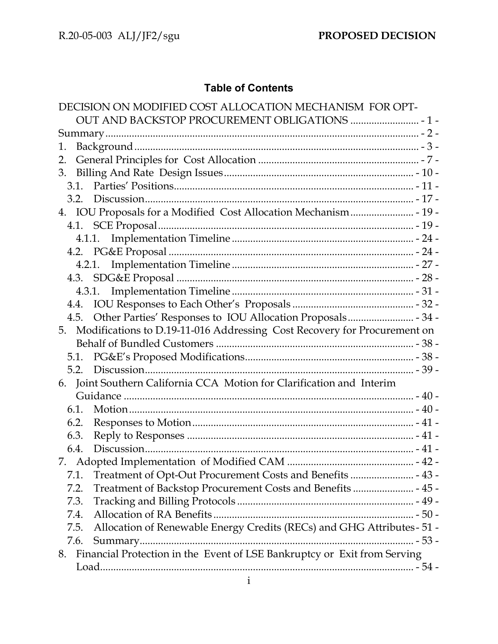# **Table of Contents**

| DECISION ON MODIFIED COST ALLOCATION MECHANISM FOR OPT-                        |
|--------------------------------------------------------------------------------|
|                                                                                |
|                                                                                |
| 1.                                                                             |
| 2.                                                                             |
| 3.                                                                             |
|                                                                                |
|                                                                                |
|                                                                                |
|                                                                                |
|                                                                                |
|                                                                                |
|                                                                                |
|                                                                                |
|                                                                                |
|                                                                                |
| 4.5.                                                                           |
| Modifications to D.19-11-016 Addressing Cost Recovery for Procurement on<br>5. |
|                                                                                |
|                                                                                |
|                                                                                |
| Joint Southern California CCA Motion for Clarification and Interim<br>6.       |
|                                                                                |
| 6.1.                                                                           |
| 6.2.                                                                           |
| 6.3.                                                                           |
| 6.4.                                                                           |
|                                                                                |
| 7.1.                                                                           |
| Treatment of Backstop Procurement Costs and Benefits  - 45 -<br>7.2.           |
| 7.3.                                                                           |
| 7.4.                                                                           |
| Allocation of Renewable Energy Credits (RECs) and GHG Attributes-51 -<br>7.5.  |
| 7.6.                                                                           |
| 8. Financial Protection in the Event of LSE Bankruptcy or Exit from Serving    |
|                                                                                |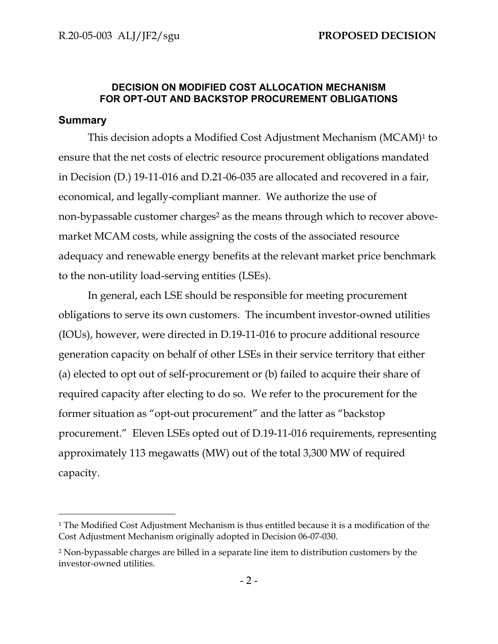### **DECISION ON MODIFIED COST ALLOCATION MECHANISM FOR OPT-OUT AND BACKSTOP PROCUREMENT OBLIGATIONS**

## <span id="page-4-0"></span>**Summary**

This decision adopts a Modified Cost Adjustment Mechanism (MCAM)<sup>1</sup> to ensure that the net costs of electric resource procurement obligations mandated in Decision (D.) 19-11-016 and D.21-06-035 are allocated and recovered in a fair, economical, and legally-compliant manner. We authorize the use of non-bypassable customer charges<sup>2</sup> as the means through which to recover abovemarket MCAM costs, while assigning the costs of the associated resource adequacy and renewable energy benefits at the relevant market price benchmark to the non-utility load-serving entities (LSEs).

In general, each LSE should be responsible for meeting procurement obligations to serve its own customers. The incumbent investor-owned utilities (IOUs), however, were directed in D.19-11-016 to procure additional resource generation capacity on behalf of other LSEs in their service territory that either (a) elected to opt out of self-procurement or (b) failed to acquire their share of required capacity after electing to do so. We refer to the procurement for the former situation as "opt-out procurement" and the latter as "backstop procurement." Eleven LSEs opted out of D.19-11-016 requirements, representing approximately 113 megawatts (MW) out of the total 3,300 MW of required capacity.

<sup>1</sup> The Modified Cost Adjustment Mechanism is thus entitled because it is a modification of the Cost Adjustment Mechanism originally adopted in Decision 06-07-030.

<sup>2</sup> Non-bypassable charges are billed in a separate line item to distribution customers by the investor-owned utilities.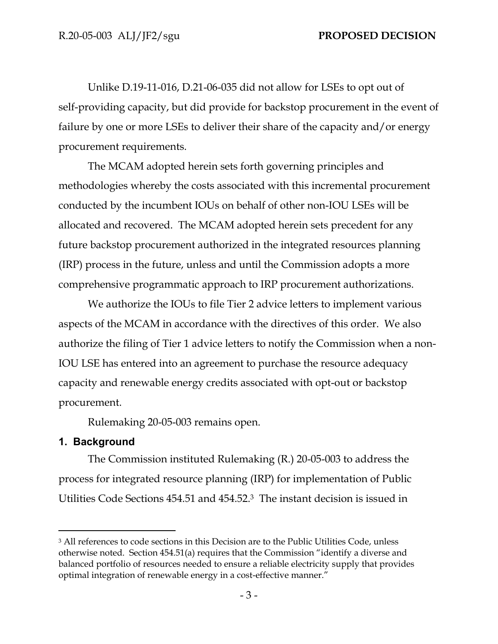Unlike D.19-11-016, D.21-06-035 did not allow for LSEs to opt out of self-providing capacity, but did provide for backstop procurement in the event of failure by one or more LSEs to deliver their share of the capacity and/or energy procurement requirements.

The MCAM adopted herein sets forth governing principles and methodologies whereby the costs associated with this incremental procurement conducted by the incumbent IOUs on behalf of other non-IOU LSEs will be allocated and recovered. The MCAM adopted herein sets precedent for any future backstop procurement authorized in the integrated resources planning (IRP) process in the future, unless and until the Commission adopts a more comprehensive programmatic approach to IRP procurement authorizations.

We authorize the IOUs to file Tier 2 advice letters to implement various aspects of the MCAM in accordance with the directives of this order. We also authorize the filing of Tier 1 advice letters to notify the Commission when a non-IOU LSE has entered into an agreement to purchase the resource adequacy capacity and renewable energy credits associated with opt-out or backstop procurement.

Rulemaking 20-05-003 remains open.

### <span id="page-5-0"></span>**1. Background**

The Commission instituted Rulemaking (R.) 20-05-003 to address the process for integrated resource planning (IRP) for implementation of Public Utilities Code Sections 454.51 and 454.52.3 The instant decision is issued in

<sup>&</sup>lt;sup>3</sup> All references to code sections in this Decision are to the Public Utilities Code, unless otherwise noted. Section 454.51(a) requires that the Commission "identify a diverse and balanced portfolio of resources needed to ensure a reliable electricity supply that provides optimal integration of renewable energy in a cost-effective manner."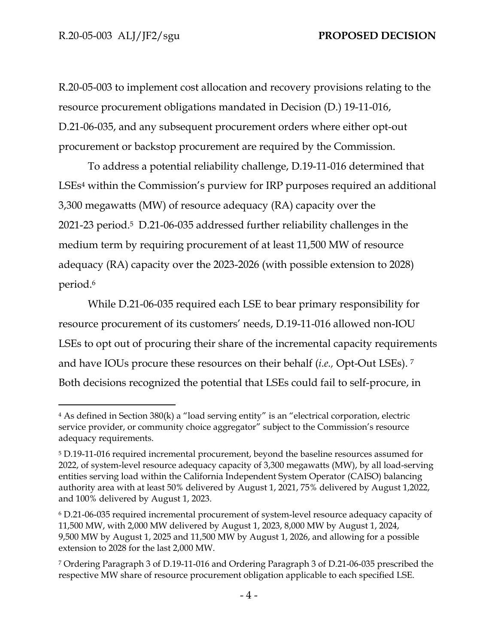R.20-05-003 to implement cost allocation and recovery provisions relating to the resource procurement obligations mandated in Decision (D.) 19-11-016, D.21-06-035, and any subsequent procurement orders where either opt-out procurement or backstop procurement are required by the Commission.

To address a potential reliability challenge, D.19-11-016 determined that LSEs<sup>4</sup> within the Commission's purview for IRP purposes required an additional 3,300 megawatts (MW) of resource adequacy (RA) capacity over the 2021-23 period.5 D.21-06-035 addressed further reliability challenges in the medium term by requiring procurement of at least 11,500 MW of resource adequacy (RA) capacity over the 2023-2026 (with possible extension to 2028) period.<sup>6</sup>

While D.21-06-035 required each LSE to bear primary responsibility for resource procurement of its customers' needs, D.19-11-016 allowed non-IOU LSEs to opt out of procuring their share of the incremental capacity requirements and have IOUs procure these resources on their behalf (*i.e.,* Opt-Out LSEs). <sup>7</sup> Both decisions recognized the potential that LSEs could fail to self-procure, in

<sup>4</sup> As defined in Section 380(k) a "load serving entity" is an "electrical corporation, electric service provider, or community choice aggregator" subject to the Commission's resource adequacy requirements.

<sup>5</sup> D.19-11-016 required incremental procurement, beyond the baseline resources assumed for 2022, of system-level resource adequacy capacity of 3,300 megawatts (MW), by all load-serving entities serving load within the California Independent System Operator (CAISO) balancing authority area with at least 50% delivered by August 1, 2021, 75% delivered by August 1,2022, and 100% delivered by August 1, 2023.

<sup>6</sup> D.21-06-035 required incremental procurement of system-level resource adequacy capacity of 11,500 MW, with 2,000 MW delivered by August 1, 2023, 8,000 MW by August 1, 2024, 9,500 MW by August 1, 2025 and 11,500 MW by August 1, 2026, and allowing for a possible extension to 2028 for the last 2,000 MW.

<sup>7</sup> Ordering Paragraph 3 of D.19-11-016 and Ordering Paragraph 3 of D.21-06-035 prescribed the respective MW share of resource procurement obligation applicable to each specified LSE.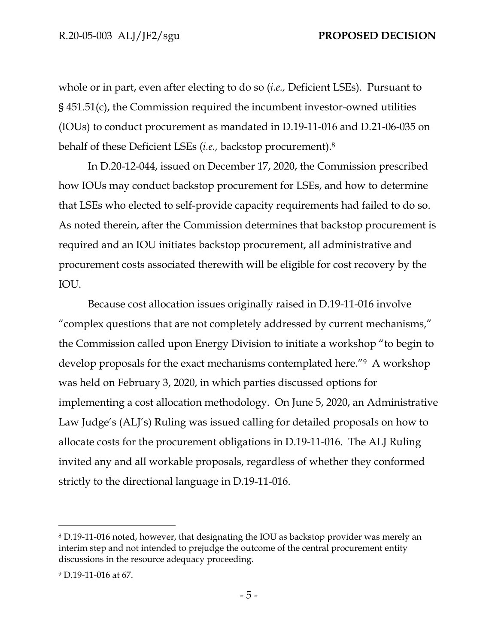whole or in part, even after electing to do so (*i.e.,* Deficient LSEs). Pursuant to § 451.51(c), the Commission required the incumbent investor-owned utilities (IOUs) to conduct procurement as mandated in D.19-11-016 and D.21-06-035 on behalf of these Deficient LSEs (*i.e.,* backstop procurement).<sup>8</sup>

In D.20-12-044, issued on December 17, 2020, the Commission prescribed how IOUs may conduct backstop procurement for LSEs, and how to determine that LSEs who elected to self-provide capacity requirements had failed to do so. As noted therein, after the Commission determines that backstop procurement is required and an IOU initiates backstop procurement, all administrative and procurement costs associated therewith will be eligible for cost recovery by the IOU.

Because cost allocation issues originally raised in D.19-11-016 involve "complex questions that are not completely addressed by current mechanisms," the Commission called upon Energy Division to initiate a workshop "to begin to develop proposals for the exact mechanisms contemplated here."9 A workshop was held on February 3, 2020, in which parties discussed options for implementing a cost allocation methodology. On June 5, 2020, an Administrative Law Judge's (ALJ's) Ruling was issued calling for detailed proposals on how to allocate costs for the procurement obligations in D.19-11-016. The ALJ Ruling invited any and all workable proposals, regardless of whether they conformed strictly to the directional language in D.19-11-016.

<sup>8</sup> D.19-11-016 noted, however, that designating the IOU as backstop provider was merely an interim step and not intended to prejudge the outcome of the central procurement entity discussions in the resource adequacy proceeding.

<sup>9</sup> D.19-11-016 at 67.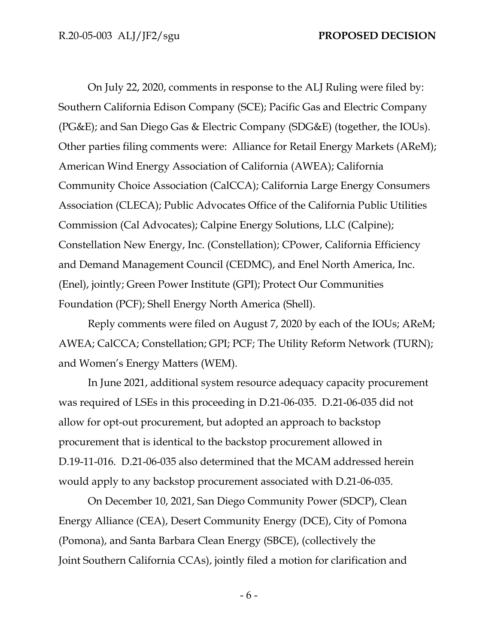On July 22, 2020, comments in response to the ALJ Ruling were filed by: Southern California Edison Company (SCE); Pacific Gas and Electric Company (PG&E); and San Diego Gas & Electric Company (SDG&E) (together, the IOUs). Other parties filing comments were: Alliance for Retail Energy Markets (AReM); American Wind Energy Association of California (AWEA); California Community Choice Association (CalCCA); California Large Energy Consumers Association (CLECA); Public Advocates Office of the California Public Utilities Commission (Cal Advocates); Calpine Energy Solutions, LLC (Calpine); Constellation New Energy, Inc. (Constellation); CPower, California Efficiency and Demand Management Council (CEDMC), and Enel North America, Inc. (Enel), jointly; Green Power Institute (GPI); Protect Our Communities Foundation (PCF); Shell Energy North America (Shell).

Reply comments were filed on August 7, 2020 by each of the IOUs; AReM; AWEA; CalCCA; Constellation; GPI; PCF; The Utility Reform Network (TURN); and Women's Energy Matters (WEM).

In June 2021, additional system resource adequacy capacity procurement was required of LSEs in this proceeding in D.21-06-035. D.21-06-035 did not allow for opt-out procurement, but adopted an approach to backstop procurement that is identical to the backstop procurement allowed in D.19-11-016. D.21-06-035 also determined that the MCAM addressed herein would apply to any backstop procurement associated with D.21-06-035.

On December 10, 2021, San Diego Community Power (SDCP), Clean Energy Alliance (CEA), Desert Community Energy (DCE), City of Pomona (Pomona), and Santa Barbara Clean Energy (SBCE), (collectively the Joint Southern California CCAs), jointly filed a motion for clarification and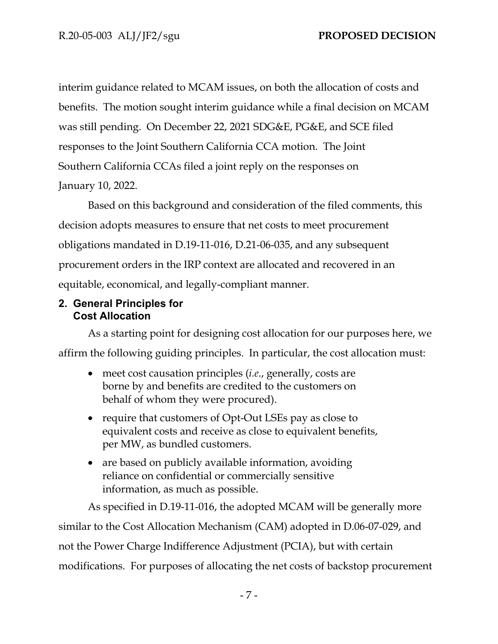interim guidance related to MCAM issues, on both the allocation of costs and benefits. The motion sought interim guidance while a final decision on MCAM was still pending. On December 22, 2021 SDG&E, PG&E, and SCE filed responses to the Joint Southern California CCA motion. The Joint Southern California CCAs filed a joint reply on the responses on January 10, 2022.

Based on this background and consideration of the filed comments, this decision adopts measures to ensure that net costs to meet procurement obligations mandated in D.19-11-016, D.21-06-035, and any subsequent procurement orders in the IRP context are allocated and recovered in an equitable, economical, and legally-compliant manner.

# <span id="page-9-0"></span>**2. General Principles for Cost Allocation**

As a starting point for designing cost allocation for our purposes here, we affirm the following guiding principles. In particular, the cost allocation must:

- meet cost causation principles (*i.e*., generally, costs are borne by and benefits are credited to the customers on behalf of whom they were procured).
- require that customers of Opt-Out LSEs pay as close to equivalent costs and receive as close to equivalent benefits, per MW, as bundled customers.
- are based on publicly available information, avoiding reliance on confidential or commercially sensitive information, as much as possible.

As specified in D.19-11-016, the adopted MCAM will be generally more similar to the Cost Allocation Mechanism (CAM) adopted in D.06-07-029, and not the Power Charge Indifference Adjustment (PCIA), but with certain modifications. For purposes of allocating the net costs of backstop procurement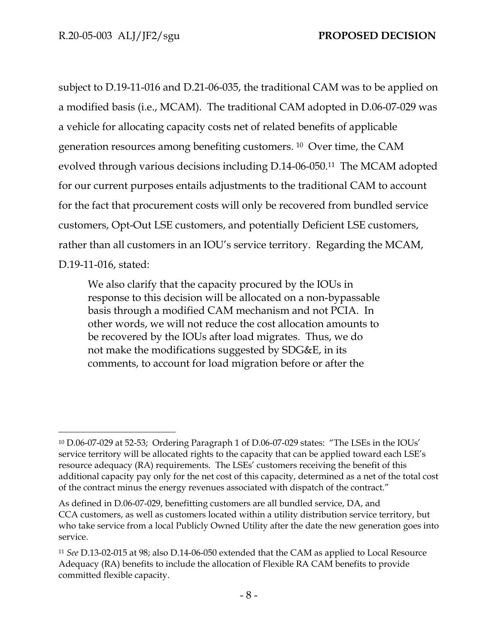subject to D.19-11-016 and D.21-06-035, the traditional CAM was to be applied on a modified basis (i.e., MCAM). The traditional CAM adopted in D.06-07-029 was a vehicle for allocating capacity costs net of related benefits of applicable generation resources among benefiting customers. 10 Over time, the CAM evolved through various decisions including D.14-06-050.11 The MCAM adopted for our current purposes entails adjustments to the traditional CAM to account for the fact that procurement costs will only be recovered from bundled service customers, Opt-Out LSE customers, and potentially Deficient LSE customers, rather than all customers in an IOU's service territory. Regarding the MCAM, D.19-11-016, stated:

We also clarify that the capacity procured by the IOUs in response to this decision will be allocated on a non-bypassable basis through a modified CAM mechanism and not PCIA. In other words, we will not reduce the cost allocation amounts to be recovered by the IOUs after load migrates. Thus, we do not make the modifications suggested by SDG&E, in its comments, to account for load migration before or after the

<sup>10</sup> D.06-07-029 at 52-53; Ordering Paragraph 1 of D.06-07-029 states: "The LSEs in the IOUs' service territory will be allocated rights to the capacity that can be applied toward each LSE's resource adequacy (RA) requirements. The LSEs' customers receiving the benefit of this additional capacity pay only for the net cost of this capacity, determined as a net of the total cost of the contract minus the energy revenues associated with dispatch of the contract."

As defined in D.06-07-029, benefitting customers are all bundled service, DA, and CCA customers, as well as customers located within a utility distribution service territory, but who take service from a local Publicly Owned Utility after the date the new generation goes into service.

<sup>11</sup> *See* D.13-02-015 at 98; also D.14-06-050 extended that the CAM as applied to Local Resource Adequacy (RA) benefits to include the allocation of Flexible RA CAM benefits to provide committed flexible capacity.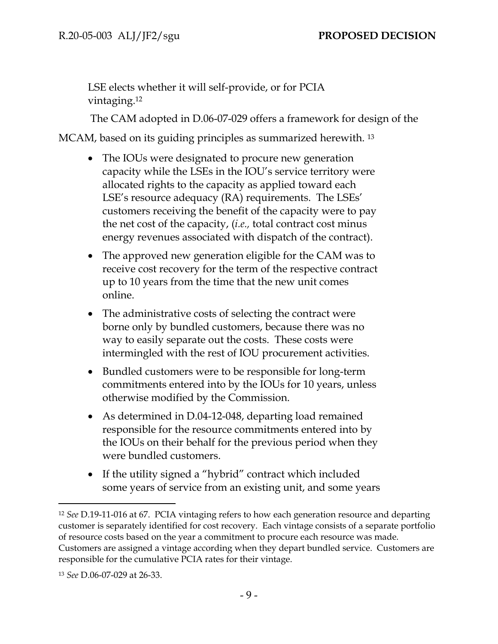LSE elects whether it will self-provide, or for PCIA vintaging.<sup>12</sup>

The CAM adopted in D.06-07-029 offers a framework for design of the

MCAM, based on its guiding principles as summarized herewith. <sup>13</sup>

- The IOUs were designated to procure new generation capacity while the LSEs in the IOU's service territory were allocated rights to the capacity as applied toward each LSE's resource adequacy (RA) requirements. The LSEs' customers receiving the benefit of the capacity were to pay the net cost of the capacity, (*i.e.,* total contract cost minus energy revenues associated with dispatch of the contract).
- The approved new generation eligible for the CAM was to receive cost recovery for the term of the respective contract up to 10 years from the time that the new unit comes online.
- The administrative costs of selecting the contract were borne only by bundled customers, because there was no way to easily separate out the costs. These costs were intermingled with the rest of IOU procurement activities.
- Bundled customers were to be responsible for long-term commitments entered into by the IOUs for 10 years, unless otherwise modified by the Commission.
- As determined in D.04-12-048, departing load remained responsible for the resource commitments entered into by the IOUs on their behalf for the previous period when they were bundled customers.
- If the utility signed a "hybrid" contract which included some years of service from an existing unit, and some years

<sup>12</sup> *See* D.19-11-016 at 67. PCIA vintaging refers to how each generation resource and departing customer is separately identified for cost recovery. Each vintage consists of a separate portfolio of resource costs based on the year a commitment to procure each resource was made. Customers are assigned a vintage according when they depart bundled service. Customers are responsible for the cumulative PCIA rates for their vintage.

<sup>13</sup> *See* D.06-07-029 at 26-33.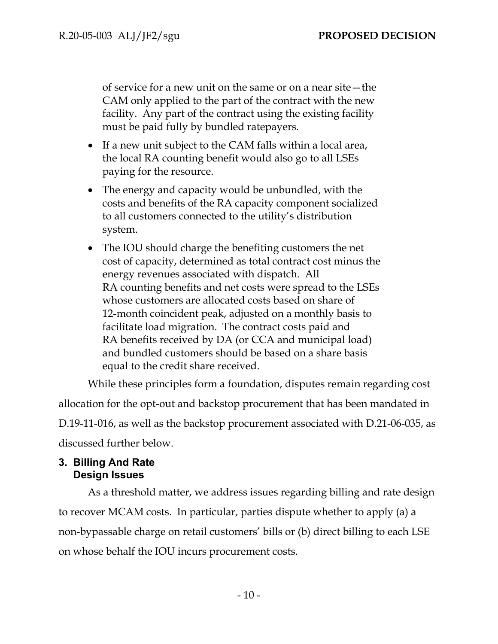of service for a new unit on the same or on a near site—the CAM only applied to the part of the contract with the new facility. Any part of the contract using the existing facility must be paid fully by bundled ratepayers.

- If a new unit subject to the CAM falls within a local area, the local RA counting benefit would also go to all LSEs paying for the resource.
- The energy and capacity would be unbundled, with the costs and benefits of the RA capacity component socialized to all customers connected to the utility's distribution system.
- The IOU should charge the benefiting customers the net cost of capacity, determined as total contract cost minus the energy revenues associated with dispatch. All RA counting benefits and net costs were spread to the LSEs whose customers are allocated costs based on share of 12-month coincident peak, adjusted on a monthly basis to facilitate load migration. The contract costs paid and RA benefits received by DA (or CCA and municipal load) and bundled customers should be based on a share basis equal to the credit share received.

While these principles form a foundation, disputes remain regarding cost allocation for the opt-out and backstop procurement that has been mandated in D.19-11-016, as well as the backstop procurement associated with D.21-06-035, as discussed further below.

# <span id="page-12-0"></span>**3. Billing And Rate Design Issues**

As a threshold matter, we address issues regarding billing and rate design to recover MCAM costs. In particular, parties dispute whether to apply (a) a non-bypassable charge on retail customers' bills or (b) direct billing to each LSE on whose behalf the IOU incurs procurement costs.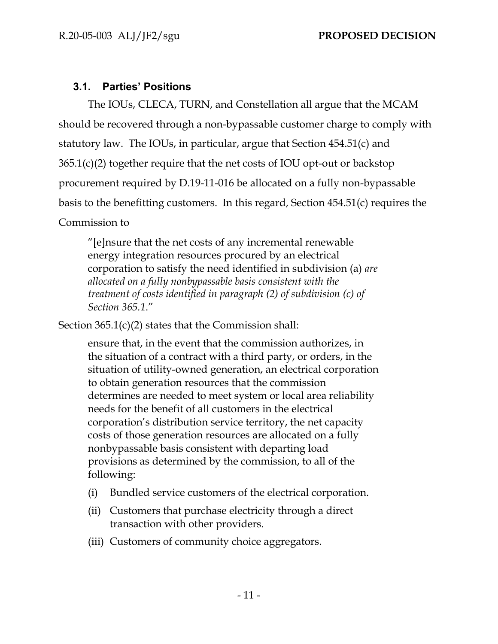# <span id="page-13-0"></span>**3.1. Parties' Positions**

The IOUs, CLECA, TURN, and Constellation all argue that the MCAM should be recovered through a non-bypassable customer charge to comply with statutory law. The IOUs, in particular, argue that Section 454.51(c) and 365.1(c)(2) together require that the net costs of IOU opt-out or backstop procurement required by D.19-11-016 be allocated on a fully non-bypassable basis to the benefitting customers. In this regard, Section 454.51(c) requires the Commission to

"[e]nsure that the net costs of any incremental renewable energy integration resources procured by an electrical corporation to satisfy the need identified in subdivision (a) *are allocated on a fully nonbypassable basis consistent with the treatment of costs identified in paragraph (2) of subdivision (c) of Section 365.1*."

Section  $365.1(c)(2)$  states that the Commission shall:

ensure that, in the event that the commission authorizes, in the situation of a contract with a third party, or orders, in the situation of utility-owned generation, an electrical corporation to obtain generation resources that the commission determines are needed to meet system or local area reliability needs for the benefit of all customers in the electrical corporation's distribution service territory, the net capacity costs of those generation resources are allocated on a fully nonbypassable basis consistent with departing load provisions as determined by the commission, to all of the following:

- (i) Bundled service customers of the electrical corporation.
- (ii) Customers that purchase electricity through a direct transaction with other providers.
- (iii) Customers of community choice aggregators.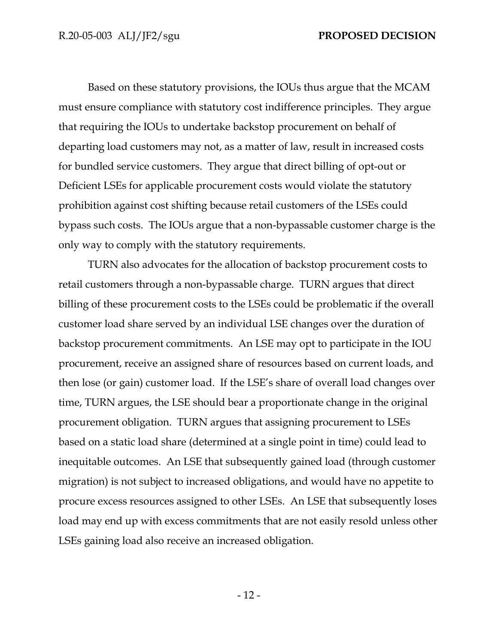Based on these statutory provisions, the IOUs thus argue that the MCAM must ensure compliance with statutory cost indifference principles. They argue that requiring the IOUs to undertake backstop procurement on behalf of departing load customers may not, as a matter of law, result in increased costs for bundled service customers. They argue that direct billing of opt-out or Deficient LSEs for applicable procurement costs would violate the statutory prohibition against cost shifting because retail customers of the LSEs could bypass such costs. The IOUs argue that a non-bypassable customer charge is the only way to comply with the statutory requirements.

TURN also advocates for the allocation of backstop procurement costs to retail customers through a non-bypassable charge. TURN argues that direct billing of these procurement costs to the LSEs could be problematic if the overall customer load share served by an individual LSE changes over the duration of backstop procurement commitments. An LSE may opt to participate in the IOU procurement, receive an assigned share of resources based on current loads, and then lose (or gain) customer load. If the LSE's share of overall load changes over time, TURN argues, the LSE should bear a proportionate change in the original procurement obligation. TURN argues that assigning procurement to LSEs based on a static load share (determined at a single point in time) could lead to inequitable outcomes. An LSE that subsequently gained load (through customer migration) is not subject to increased obligations, and would have no appetite to procure excess resources assigned to other LSEs. An LSE that subsequently loses load may end up with excess commitments that are not easily resold unless other LSEs gaining load also receive an increased obligation.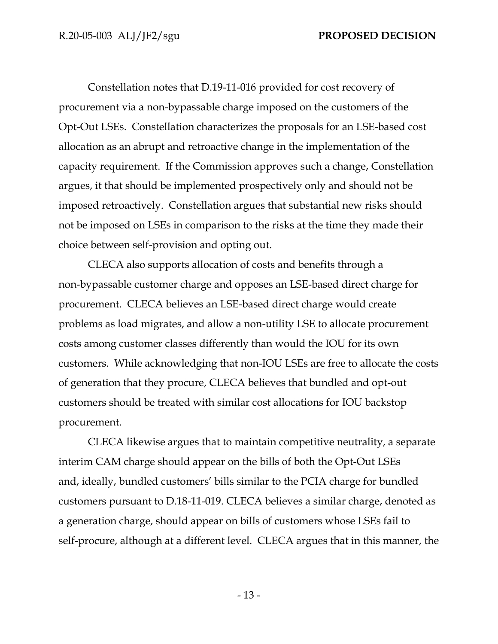Constellation notes that D.19-11-016 provided for cost recovery of procurement via a non-bypassable charge imposed on the customers of the Opt-Out LSEs. Constellation characterizes the proposals for an LSE-based cost allocation as an abrupt and retroactive change in the implementation of the capacity requirement. If the Commission approves such a change, Constellation argues, it that should be implemented prospectively only and should not be imposed retroactively. Constellation argues that substantial new risks should not be imposed on LSEs in comparison to the risks at the time they made their choice between self-provision and opting out.

CLECA also supports allocation of costs and benefits through a non-bypassable customer charge and opposes an LSE-based direct charge for procurement. CLECA believes an LSE-based direct charge would create problems as load migrates, and allow a non-utility LSE to allocate procurement costs among customer classes differently than would the IOU for its own customers. While acknowledging that non-IOU LSEs are free to allocate the costs of generation that they procure, CLECA believes that bundled and opt-out customers should be treated with similar cost allocations for IOU backstop procurement.

CLECA likewise argues that to maintain competitive neutrality, a separate interim CAM charge should appear on the bills of both the Opt-Out LSEs and, ideally, bundled customers' bills similar to the PCIA charge for bundled customers pursuant to D.18-11-019. CLECA believes a similar charge, denoted as a generation charge, should appear on bills of customers whose LSEs fail to self-procure, although at a different level. CLECA argues that in this manner, the

- 13 -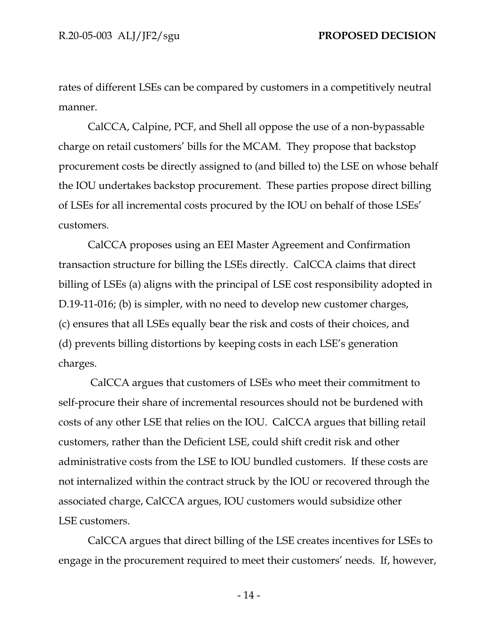rates of different LSEs can be compared by customers in a competitively neutral manner.

CalCCA, Calpine, PCF, and Shell all oppose the use of a non-bypassable charge on retail customers' bills for the MCAM. They propose that backstop procurement costs be directly assigned to (and billed to) the LSE on whose behalf the IOU undertakes backstop procurement. These parties propose direct billing of LSEs for all incremental costs procured by the IOU on behalf of those LSEs' customers.

CalCCA proposes using an EEI Master Agreement and Confirmation transaction structure for billing the LSEs directly. CalCCA claims that direct billing of LSEs (a) aligns with the principal of LSE cost responsibility adopted in D.19-11-016; (b) is simpler, with no need to develop new customer charges, (c) ensures that all LSEs equally bear the risk and costs of their choices, and (d) prevents billing distortions by keeping costs in each LSE's generation charges.

CalCCA argues that customers of LSEs who meet their commitment to self-procure their share of incremental resources should not be burdened with costs of any other LSE that relies on the IOU. CalCCA argues that billing retail customers, rather than the Deficient LSE, could shift credit risk and other administrative costs from the LSE to IOU bundled customers. If these costs are not internalized within the contract struck by the IOU or recovered through the associated charge, CalCCA argues, IOU customers would subsidize other LSE customers.

CalCCA argues that direct billing of the LSE creates incentives for LSEs to engage in the procurement required to meet their customers' needs. If, however,

- 14 -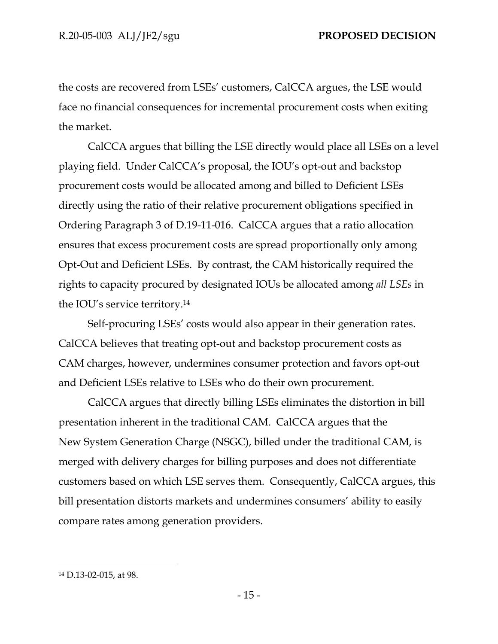the costs are recovered from LSEs' customers, CalCCA argues, the LSE would face no financial consequences for incremental procurement costs when exiting the market.

CalCCA argues that billing the LSE directly would place all LSEs on a level playing field. Under CalCCA's proposal, the IOU's opt-out and backstop procurement costs would be allocated among and billed to Deficient LSEs directly using the ratio of their relative procurement obligations specified in Ordering Paragraph 3 of D.19-11-016. CalCCA argues that a ratio allocation ensures that excess procurement costs are spread proportionally only among Opt-Out and Deficient LSEs. By contrast, the CAM historically required the rights to capacity procured by designated IOUs be allocated among *all LSEs* in the IOU's service territory.<sup>14</sup>

Self-procuring LSEs' costs would also appear in their generation rates. CalCCA believes that treating opt-out and backstop procurement costs as CAM charges, however, undermines consumer protection and favors opt-out and Deficient LSEs relative to LSEs who do their own procurement.

CalCCA argues that directly billing LSEs eliminates the distortion in bill presentation inherent in the traditional CAM. CalCCA argues that the New System Generation Charge (NSGC), billed under the traditional CAM, is merged with delivery charges for billing purposes and does not differentiate customers based on which LSE serves them. Consequently, CalCCA argues, this bill presentation distorts markets and undermines consumers' ability to easily compare rates among generation providers.

<sup>14</sup> D.13-02-015, at 98.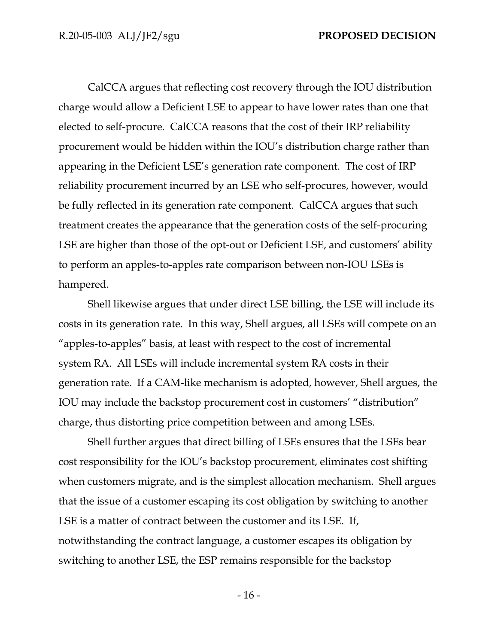CalCCA argues that reflecting cost recovery through the IOU distribution charge would allow a Deficient LSE to appear to have lower rates than one that elected to self-procure. CalCCA reasons that the cost of their IRP reliability procurement would be hidden within the IOU's distribution charge rather than appearing in the Deficient LSE's generation rate component. The cost of IRP reliability procurement incurred by an LSE who self-procures, however, would be fully reflected in its generation rate component. CalCCA argues that such treatment creates the appearance that the generation costs of the self-procuring LSE are higher than those of the opt-out or Deficient LSE, and customers' ability to perform an apples-to-apples rate comparison between non-IOU LSEs is hampered.

Shell likewise argues that under direct LSE billing, the LSE will include its costs in its generation rate. In this way, Shell argues, all LSEs will compete on an "apples-to-apples" basis, at least with respect to the cost of incremental system RA. All LSEs will include incremental system RA costs in their generation rate. If a CAM-like mechanism is adopted, however, Shell argues, the IOU may include the backstop procurement cost in customers' "distribution" charge, thus distorting price competition between and among LSEs.

Shell further argues that direct billing of LSEs ensures that the LSEs bear cost responsibility for the IOU's backstop procurement, eliminates cost shifting when customers migrate, and is the simplest allocation mechanism. Shell argues that the issue of a customer escaping its cost obligation by switching to another LSE is a matter of contract between the customer and its LSE. If, notwithstanding the contract language, a customer escapes its obligation by switching to another LSE, the ESP remains responsible for the backstop

- 16 -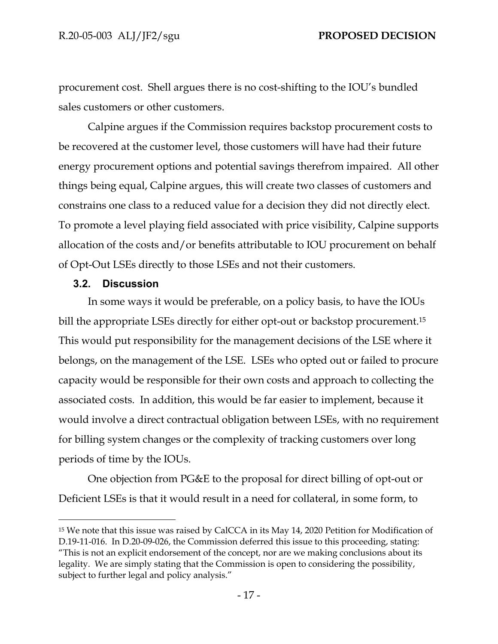procurement cost. Shell argues there is no cost-shifting to the IOU's bundled sales customers or other customers.

Calpine argues if the Commission requires backstop procurement costs to be recovered at the customer level, those customers will have had their future energy procurement options and potential savings therefrom impaired. All other things being equal, Calpine argues, this will create two classes of customers and constrains one class to a reduced value for a decision they did not directly elect. To promote a level playing field associated with price visibility, Calpine supports allocation of the costs and/or benefits attributable to IOU procurement on behalf of Opt-Out LSEs directly to those LSEs and not their customers.

### <span id="page-19-0"></span>**3.2. Discussion**

In some ways it would be preferable, on a policy basis, to have the IOUs bill the appropriate LSEs directly for either opt-out or backstop procurement.<sup>15</sup> This would put responsibility for the management decisions of the LSE where it belongs, on the management of the LSE. LSEs who opted out or failed to procure capacity would be responsible for their own costs and approach to collecting the associated costs. In addition, this would be far easier to implement, because it would involve a direct contractual obligation between LSEs, with no requirement for billing system changes or the complexity of tracking customers over long periods of time by the IOUs.

One objection from PG&E to the proposal for direct billing of opt-out or Deficient LSEs is that it would result in a need for collateral, in some form, to

<sup>15</sup> We note that this issue was raised by CalCCA in its May 14, 2020 Petition for Modification of D.19-11-016. In D.20-09-026, the Commission deferred this issue to this proceeding, stating: "This is not an explicit endorsement of the concept, nor are we making conclusions about its legality. We are simply stating that the Commission is open to considering the possibility, subject to further legal and policy analysis."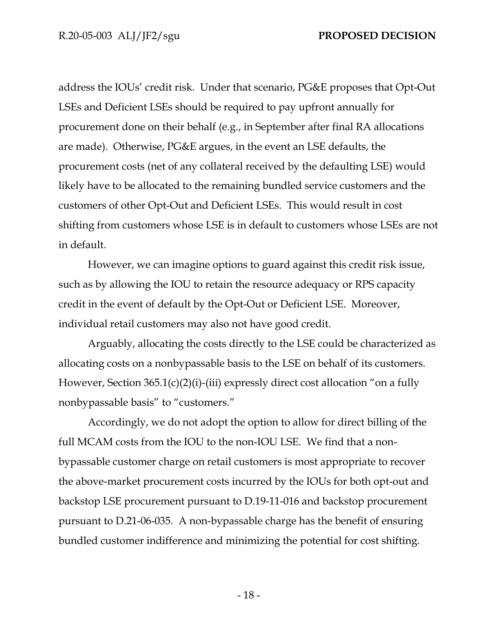address the IOUs' credit risk. Under that scenario, PG&E proposes that Opt-Out LSEs and Deficient LSEs should be required to pay upfront annually for procurement done on their behalf (e.g., in September after final RA allocations are made). Otherwise, PG&E argues, in the event an LSE defaults, the procurement costs (net of any collateral received by the defaulting LSE) would likely have to be allocated to the remaining bundled service customers and the customers of other Opt-Out and Deficient LSEs. This would result in cost shifting from customers whose LSE is in default to customers whose LSEs are not in default.

However, we can imagine options to guard against this credit risk issue, such as by allowing the IOU to retain the resource adequacy or RPS capacity credit in the event of default by the Opt-Out or Deficient LSE. Moreover, individual retail customers may also not have good credit.

Arguably, allocating the costs directly to the LSE could be characterized as allocating costs on a nonbypassable basis to the LSE on behalf of its customers. However, Section 365.1(c)(2)(i)-(iii) expressly direct cost allocation "on a fully nonbypassable basis" to "customers."

Accordingly, we do not adopt the option to allow for direct billing of the full MCAM costs from the IOU to the non-IOU LSE. We find that a nonbypassable customer charge on retail customers is most appropriate to recover the above-market procurement costs incurred by the IOUs for both opt-out and backstop LSE procurement pursuant to D.19-11-016 and backstop procurement pursuant to D.21-06-035. A non-bypassable charge has the benefit of ensuring bundled customer indifference and minimizing the potential for cost shifting.

- 18 -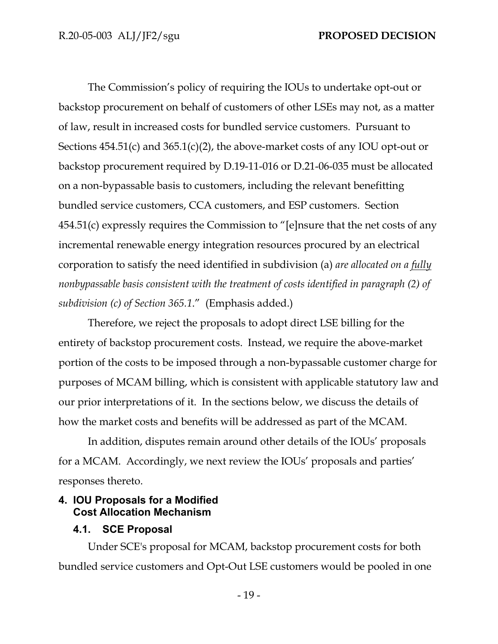The Commission's policy of requiring the IOUs to undertake opt-out or backstop procurement on behalf of customers of other LSEs may not, as a matter of law, result in increased costs for bundled service customers. Pursuant to Sections 454.51(c) and 365.1(c)(2), the above-market costs of any IOU opt-out or backstop procurement required by D.19-11-016 or D.21-06-035 must be allocated on a non-bypassable basis to customers, including the relevant benefitting bundled service customers, CCA customers, and ESP customers. Section 454.51(c) expressly requires the Commission to "[e]nsure that the net costs of any incremental renewable energy integration resources procured by an electrical corporation to satisfy the need identified in subdivision (a) *are allocated on a fully nonbypassable basis consistent with the treatment of costs identified in paragraph (2) of subdivision (c) of Section 365.1*." (Emphasis added.)

Therefore, we reject the proposals to adopt direct LSE billing for the entirety of backstop procurement costs. Instead, we require the above-market portion of the costs to be imposed through a non-bypassable customer charge for purposes of MCAM billing, which is consistent with applicable statutory law and our prior interpretations of it. In the sections below, we discuss the details of how the market costs and benefits will be addressed as part of the MCAM.

In addition, disputes remain around other details of the IOUs' proposals for a MCAM. Accordingly, we next review the IOUs' proposals and parties' responses thereto.

### <span id="page-21-0"></span>**4. IOU Proposals for a Modified Cost Allocation Mechanism**

# <span id="page-21-1"></span>**4.1. SCE Proposal**

Under SCE's proposal for MCAM, backstop procurement costs for both bundled service customers and Opt-Out LSE customers would be pooled in one

- 19 -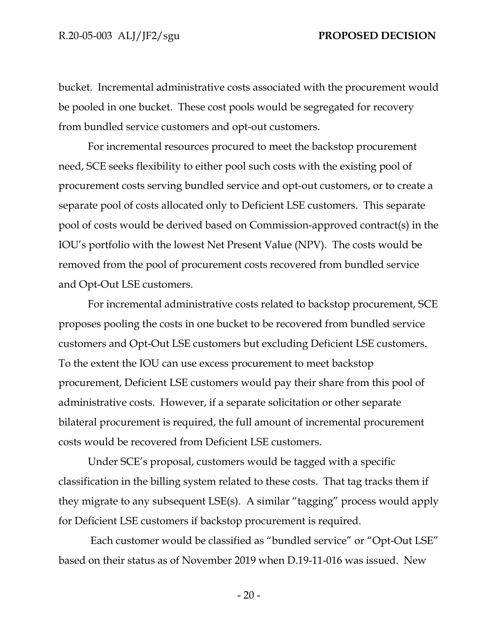bucket. Incremental administrative costs associated with the procurement would be pooled in one bucket. These cost pools would be segregated for recovery from bundled service customers and opt-out customers.

For incremental resources procured to meet the backstop procurement need, SCE seeks flexibility to either pool such costs with the existing pool of procurement costs serving bundled service and opt-out customers, or to create a separate pool of costs allocated only to Deficient LSE customers. This separate pool of costs would be derived based on Commission-approved contract(s) in the IOU's portfolio with the lowest Net Present Value (NPV). The costs would be removed from the pool of procurement costs recovered from bundled service and Opt-Out LSE customers.

For incremental administrative costs related to backstop procurement, SCE proposes pooling the costs in one bucket to be recovered from bundled service customers and Opt-Out LSE customers but excluding Deficient LSE customers. To the extent the IOU can use excess procurement to meet backstop procurement, Deficient LSE customers would pay their share from this pool of administrative costs. However, if a separate solicitation or other separate bilateral procurement is required, the full amount of incremental procurement costs would be recovered from Deficient LSE customers.

Under SCE's proposal, customers would be tagged with a specific classification in the billing system related to these costs. That tag tracks them if they migrate to any subsequent LSE(s). A similar "tagging" process would apply for Deficient LSE customers if backstop procurement is required.

Each customer would be classified as "bundled service" or "Opt-Out LSE" based on their status as of November 2019 when D.19-11-016 was issued. New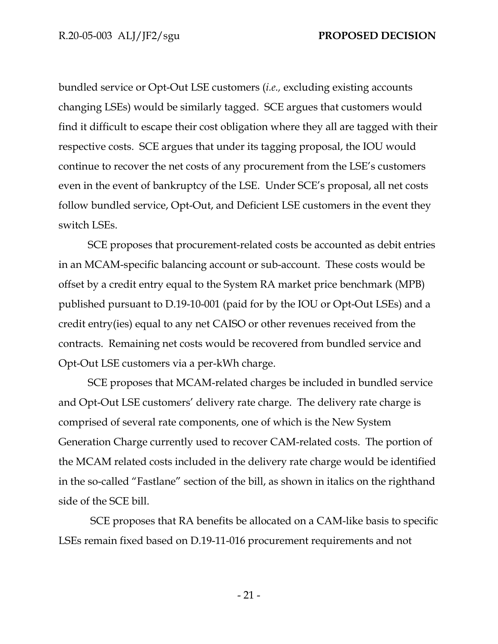bundled service or Opt-Out LSE customers (*i.e.,* excluding existing accounts changing LSEs) would be similarly tagged. SCE argues that customers would find it difficult to escape their cost obligation where they all are tagged with their respective costs. SCE argues that under its tagging proposal, the IOU would continue to recover the net costs of any procurement from the LSE's customers even in the event of bankruptcy of the LSE. Under SCE's proposal, all net costs follow bundled service, Opt-Out, and Deficient LSE customers in the event they switch LSEs.

SCE proposes that procurement-related costs be accounted as debit entries in an MCAM-specific balancing account or sub-account. These costs would be offset by a credit entry equal to the System RA market price benchmark (MPB) published pursuant to D.19-10-001 (paid for by the IOU or Opt-Out LSEs) and a credit entry(ies) equal to any net CAISO or other revenues received from the contracts. Remaining net costs would be recovered from bundled service and Opt-Out LSE customers via a per-kWh charge.

SCE proposes that MCAM-related charges be included in bundled service and Opt-Out LSE customers' delivery rate charge. The delivery rate charge is comprised of several rate components, one of which is the New System Generation Charge currently used to recover CAM-related costs. The portion of the MCAM related costs included in the delivery rate charge would be identified in the so-called "Fastlane" section of the bill, as shown in italics on the righthand side of the SCE bill.

SCE proposes that RA benefits be allocated on a CAM-like basis to specific LSEs remain fixed based on D.19-11-016 procurement requirements and not

- 21 -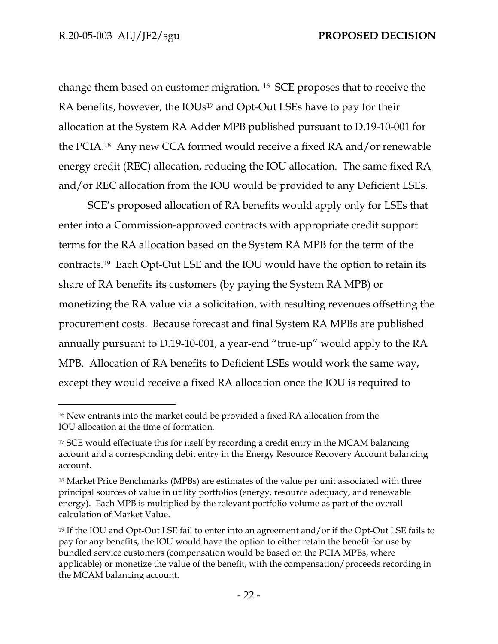change them based on customer migration. 16 SCE proposes that to receive the RA benefits, however, the IOUs<sup>17</sup> and Opt-Out LSEs have to pay for their allocation at the System RA Adder MPB published pursuant to D.19-10-001 for the PCIA.18 Any new CCA formed would receive a fixed RA and/or renewable energy credit (REC) allocation, reducing the IOU allocation. The same fixed RA and/or REC allocation from the IOU would be provided to any Deficient LSEs.

SCE's proposed allocation of RA benefits would apply only for LSEs that enter into a Commission-approved contracts with appropriate credit support terms for the RA allocation based on the System RA MPB for the term of the contracts.19 Each Opt-Out LSE and the IOU would have the option to retain its share of RA benefits its customers (by paying the System RA MPB) or monetizing the RA value via a solicitation, with resulting revenues offsetting the procurement costs. Because forecast and final System RA MPBs are published annually pursuant to D.19-10-001, a year-end "true-up" would apply to the RA MPB. Allocation of RA benefits to Deficient LSEs would work the same way, except they would receive a fixed RA allocation once the IOU is required to

<sup>16</sup> New entrants into the market could be provided a fixed RA allocation from the IOU allocation at the time of formation.

<sup>&</sup>lt;sup>17</sup> SCE would effectuate this for itself by recording a credit entry in the MCAM balancing account and a corresponding debit entry in the Energy Resource Recovery Account balancing account.

<sup>18</sup> Market Price Benchmarks (MPBs) are estimates of the value per unit associated with three principal sources of value in utility portfolios (energy, resource adequacy, and renewable energy). Each MPB is multiplied by the relevant portfolio volume as part of the overall calculation of Market Value.

<sup>19</sup> If the IOU and Opt-Out LSE fail to enter into an agreement and/or if the Opt-Out LSE fails to pay for any benefits, the IOU would have the option to either retain the benefit for use by bundled service customers (compensation would be based on the PCIA MPBs, where applicable) or monetize the value of the benefit, with the compensation/proceeds recording in the MCAM balancing account.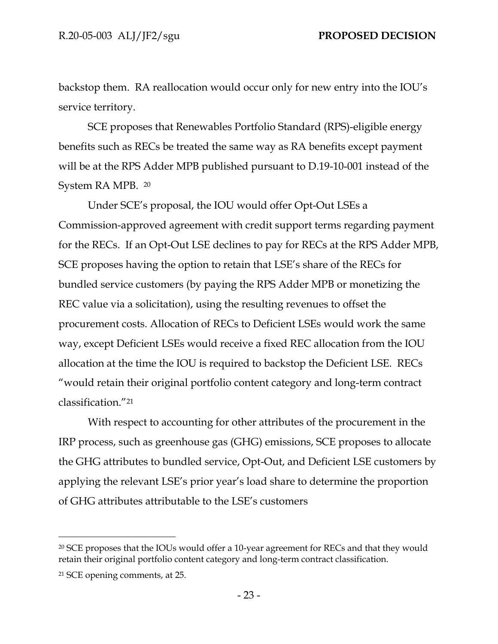backstop them. RA reallocation would occur only for new entry into the IOU's service territory.

SCE proposes that Renewables Portfolio Standard (RPS)-eligible energy benefits such as RECs be treated the same way as RA benefits except payment will be at the RPS Adder MPB published pursuant to D.19-10-001 instead of the System RA MPB. <sup>20</sup>

Under SCE's proposal, the IOU would offer Opt-Out LSEs a Commission-approved agreement with credit support terms regarding payment for the RECs. If an Opt-Out LSE declines to pay for RECs at the RPS Adder MPB, SCE proposes having the option to retain that LSE's share of the RECs for bundled service customers (by paying the RPS Adder MPB or monetizing the REC value via a solicitation), using the resulting revenues to offset the procurement costs. Allocation of RECs to Deficient LSEs would work the same way, except Deficient LSEs would receive a fixed REC allocation from the IOU allocation at the time the IOU is required to backstop the Deficient LSE. RECs "would retain their original portfolio content category and long-term contract classification."<sup>21</sup>

With respect to accounting for other attributes of the procurement in the IRP process, such as greenhouse gas (GHG) emissions, SCE proposes to allocate the GHG attributes to bundled service, Opt-Out, and Deficient LSE customers by applying the relevant LSE's prior year's load share to determine the proportion of GHG attributes attributable to the LSE's customers

<sup>20</sup> SCE proposes that the IOUs would offer a 10-year agreement for RECs and that they would retain their original portfolio content category and long-term contract classification.

<sup>21</sup> SCE opening comments, at 25.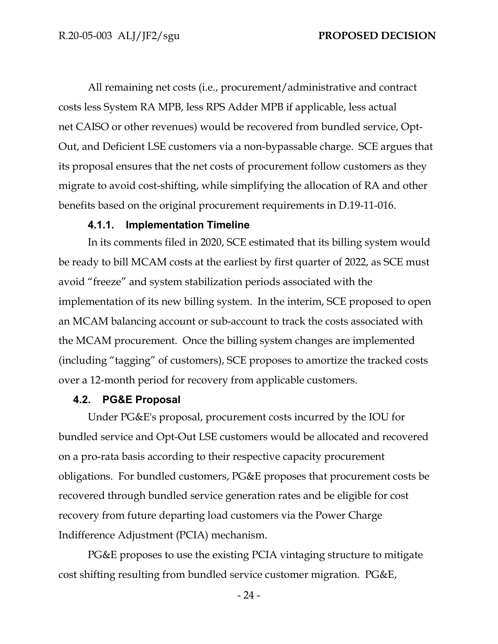All remaining net costs (i.e., procurement/administrative and contract costs less System RA MPB, less RPS Adder MPB if applicable, less actual net CAISO or other revenues) would be recovered from bundled service, Opt-Out, and Deficient LSE customers via a non-bypassable charge. SCE argues that its proposal ensures that the net costs of procurement follow customers as they migrate to avoid cost-shifting, while simplifying the allocation of RA and other benefits based on the original procurement requirements in D.19-11-016.

### **4.1.1. Implementation Timeline**

<span id="page-26-0"></span>In its comments filed in 2020, SCE estimated that its billing system would be ready to bill MCAM costs at the earliest by first quarter of 2022, as SCE must avoid "freeze" and system stabilization periods associated with the implementation of its new billing system. In the interim, SCE proposed to open an MCAM balancing account or sub-account to track the costs associated with the MCAM procurement. Once the billing system changes are implemented (including "tagging" of customers), SCE proposes to amortize the tracked costs over a 12-month period for recovery from applicable customers.

### <span id="page-26-1"></span>**4.2. PG&E Proposal**

Under PG&E's proposal, procurement costs incurred by the IOU for bundled service and Opt-Out LSE customers would be allocated and recovered on a pro-rata basis according to their respective capacity procurement obligations. For bundled customers, PG&E proposes that procurement costs be recovered through bundled service generation rates and be eligible for cost recovery from future departing load customers via the Power Charge Indifference Adjustment (PCIA) mechanism.

PG&E proposes to use the existing PCIA vintaging structure to mitigate cost shifting resulting from bundled service customer migration. PG&E,

- 24 -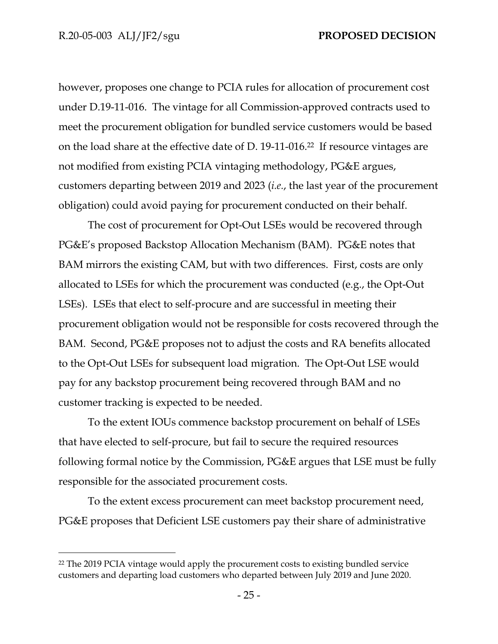however, proposes one change to PCIA rules for allocation of procurement cost under D.19-11-016. The vintage for all Commission-approved contracts used to meet the procurement obligation for bundled service customers would be based on the load share at the effective date of D. 19-11-016.<sup>22</sup> If resource vintages are not modified from existing PCIA vintaging methodology, PG&E argues, customers departing between 2019 and 2023 (*i.e.*, the last year of the procurement obligation) could avoid paying for procurement conducted on their behalf.

The cost of procurement for Opt-Out LSEs would be recovered through PG&E's proposed Backstop Allocation Mechanism (BAM). PG&E notes that BAM mirrors the existing CAM, but with two differences. First, costs are only allocated to LSEs for which the procurement was conducted (e.g., the Opt-Out LSEs). LSEs that elect to self-procure and are successful in meeting their procurement obligation would not be responsible for costs recovered through the BAM. Second, PG&E proposes not to adjust the costs and RA benefits allocated to the Opt-Out LSEs for subsequent load migration. The Opt-Out LSE would pay for any backstop procurement being recovered through BAM and no customer tracking is expected to be needed.

To the extent IOUs commence backstop procurement on behalf of LSEs that have elected to self-procure, but fail to secure the required resources following formal notice by the Commission, PG&E argues that LSE must be fully responsible for the associated procurement costs.

To the extent excess procurement can meet backstop procurement need, PG&E proposes that Deficient LSE customers pay their share of administrative

<sup>22</sup> The 2019 PCIA vintage would apply the procurement costs to existing bundled service customers and departing load customers who departed between July 2019 and June 2020.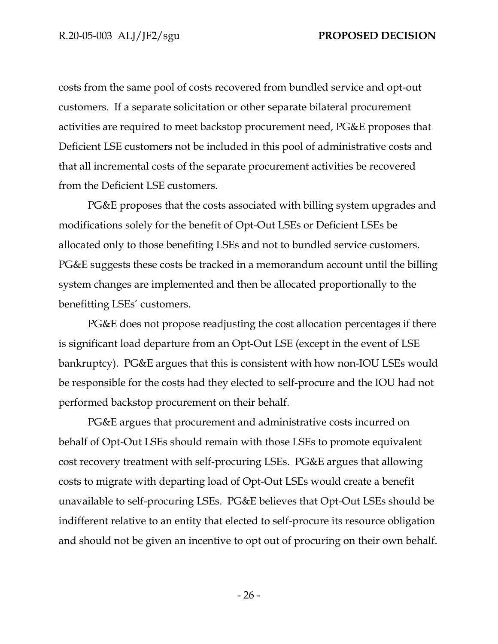costs from the same pool of costs recovered from bundled service and opt-out customers. If a separate solicitation or other separate bilateral procurement activities are required to meet backstop procurement need, PG&E proposes that Deficient LSE customers not be included in this pool of administrative costs and that all incremental costs of the separate procurement activities be recovered from the Deficient LSE customers.

PG&E proposes that the costs associated with billing system upgrades and modifications solely for the benefit of Opt-Out LSEs or Deficient LSEs be allocated only to those benefiting LSEs and not to bundled service customers. PG&E suggests these costs be tracked in a memorandum account until the billing system changes are implemented and then be allocated proportionally to the benefitting LSEs' customers.

PG&E does not propose readjusting the cost allocation percentages if there is significant load departure from an Opt-Out LSE (except in the event of LSE bankruptcy). PG&E argues that this is consistent with how non-IOU LSEs would be responsible for the costs had they elected to self-procure and the IOU had not performed backstop procurement on their behalf.

PG&E argues that procurement and administrative costs incurred on behalf of Opt-Out LSEs should remain with those LSEs to promote equivalent cost recovery treatment with self-procuring LSEs. PG&E argues that allowing costs to migrate with departing load of Opt-Out LSEs would create a benefit unavailable to self-procuring LSEs. PG&E believes that Opt-Out LSEs should be indifferent relative to an entity that elected to self-procure its resource obligation and should not be given an incentive to opt out of procuring on their own behalf.

- 26 -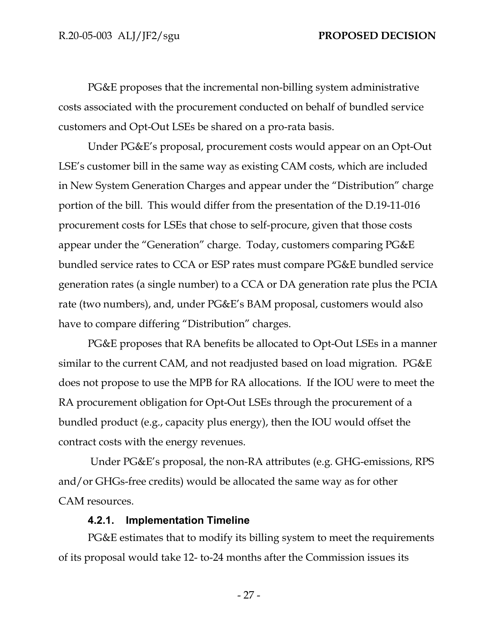PG&E proposes that the incremental non-billing system administrative costs associated with the procurement conducted on behalf of bundled service customers and Opt-Out LSEs be shared on a pro-rata basis.

Under PG&E's proposal, procurement costs would appear on an Opt-Out LSE's customer bill in the same way as existing CAM costs, which are included in New System Generation Charges and appear under the "Distribution" charge portion of the bill. This would differ from the presentation of the D.19-11-016 procurement costs for LSEs that chose to self-procure, given that those costs appear under the "Generation" charge. Today, customers comparing PG&E bundled service rates to CCA or ESP rates must compare PG&E bundled service generation rates (a single number) to a CCA or DA generation rate plus the PCIA rate (two numbers), and, under PG&E's BAM proposal, customers would also have to compare differing "Distribution" charges.

PG&E proposes that RA benefits be allocated to Opt-Out LSEs in a manner similar to the current CAM, and not readjusted based on load migration. PG&E does not propose to use the MPB for RA allocations. If the IOU were to meet the RA procurement obligation for Opt-Out LSEs through the procurement of a bundled product (e.g., capacity plus energy), then the IOU would offset the contract costs with the energy revenues.

Under PG&E's proposal, the non-RA attributes (e.g. GHG-emissions, RPS and/or GHGs-free credits) would be allocated the same way as for other CAM resources.

### **4.2.1. Implementation Timeline**

<span id="page-29-0"></span>PG&E estimates that to modify its billing system to meet the requirements of its proposal would take 12- to-24 months after the Commission issues its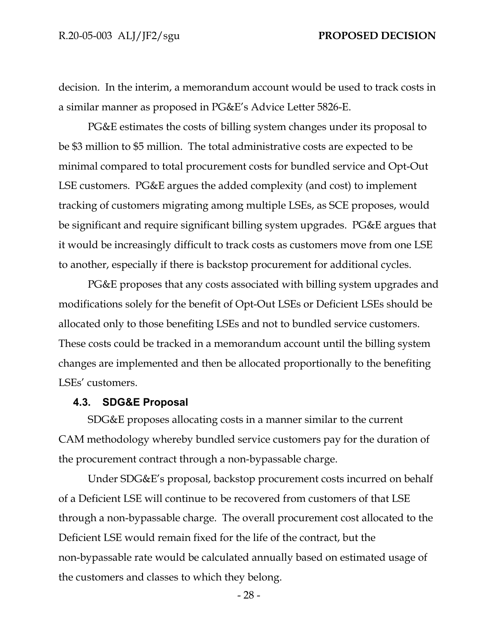decision. In the interim, a memorandum account would be used to track costs in a similar manner as proposed in PG&E's Advice Letter 5826-E.

PG&E estimates the costs of billing system changes under its proposal to be \$3 million to \$5 million. The total administrative costs are expected to be minimal compared to total procurement costs for bundled service and Opt-Out LSE customers. PG&E argues the added complexity (and cost) to implement tracking of customers migrating among multiple LSEs, as SCE proposes, would be significant and require significant billing system upgrades. PG&E argues that it would be increasingly difficult to track costs as customers move from one LSE to another, especially if there is backstop procurement for additional cycles.

PG&E proposes that any costs associated with billing system upgrades and modifications solely for the benefit of Opt-Out LSEs or Deficient LSEs should be allocated only to those benefiting LSEs and not to bundled service customers. These costs could be tracked in a memorandum account until the billing system changes are implemented and then be allocated proportionally to the benefiting LSEs' customers.

#### <span id="page-30-0"></span>**4.3. SDG&E Proposal**

SDG&E proposes allocating costs in a manner similar to the current CAM methodology whereby bundled service customers pay for the duration of the procurement contract through a non-bypassable charge.

Under SDG&E's proposal, backstop procurement costs incurred on behalf of a Deficient LSE will continue to be recovered from customers of that LSE through a non-bypassable charge. The overall procurement cost allocated to the Deficient LSE would remain fixed for the life of the contract, but the non-bypassable rate would be calculated annually based on estimated usage of the customers and classes to which they belong.

- 28 -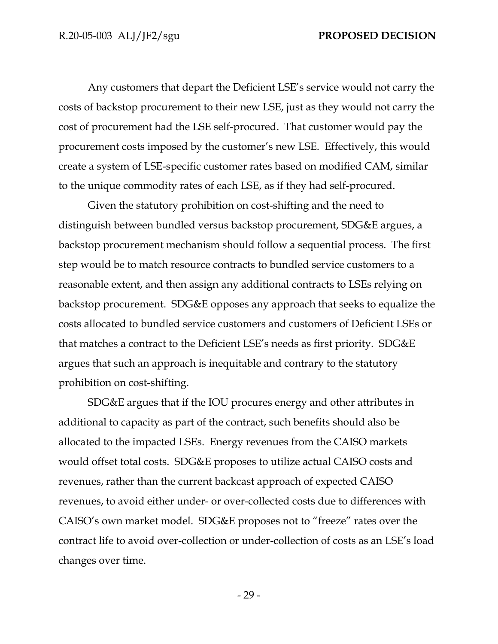Any customers that depart the Deficient LSE's service would not carry the costs of backstop procurement to their new LSE, just as they would not carry the cost of procurement had the LSE self-procured. That customer would pay the procurement costs imposed by the customer's new LSE. Effectively, this would create a system of LSE-specific customer rates based on modified CAM, similar to the unique commodity rates of each LSE, as if they had self-procured.

Given the statutory prohibition on cost-shifting and the need to distinguish between bundled versus backstop procurement, SDG&E argues, a backstop procurement mechanism should follow a sequential process. The first step would be to match resource contracts to bundled service customers to a reasonable extent, and then assign any additional contracts to LSEs relying on backstop procurement. SDG&E opposes any approach that seeks to equalize the costs allocated to bundled service customers and customers of Deficient LSEs or that matches a contract to the Deficient LSE's needs as first priority. SDG&E argues that such an approach is inequitable and contrary to the statutory prohibition on cost-shifting.

SDG&E argues that if the IOU procures energy and other attributes in additional to capacity as part of the contract, such benefits should also be allocated to the impacted LSEs. Energy revenues from the CAISO markets would offset total costs. SDG&E proposes to utilize actual CAISO costs and revenues, rather than the current backcast approach of expected CAISO revenues, to avoid either under- or over-collected costs due to differences with CAISO's own market model. SDG&E proposes not to "freeze" rates over the contract life to avoid over-collection or under-collection of costs as an LSE's load changes over time.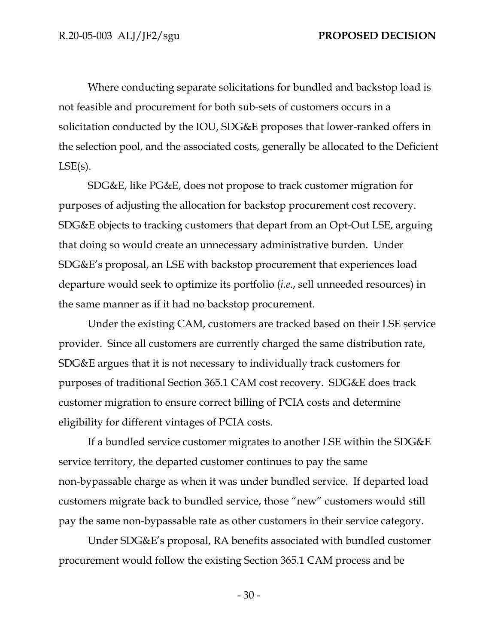Where conducting separate solicitations for bundled and backstop load is not feasible and procurement for both sub-sets of customers occurs in a solicitation conducted by the IOU, SDG&E proposes that lower-ranked offers in the selection pool, and the associated costs, generally be allocated to the Deficient  $LSE(s)$ .

SDG&E, like PG&E, does not propose to track customer migration for purposes of adjusting the allocation for backstop procurement cost recovery. SDG&E objects to tracking customers that depart from an Opt-Out LSE, arguing that doing so would create an unnecessary administrative burden. Under SDG&E's proposal, an LSE with backstop procurement that experiences load departure would seek to optimize its portfolio (*i.e*., sell unneeded resources) in the same manner as if it had no backstop procurement.

Under the existing CAM, customers are tracked based on their LSE service provider. Since all customers are currently charged the same distribution rate, SDG&E argues that it is not necessary to individually track customers for purposes of traditional Section 365.1 CAM cost recovery. SDG&E does track customer migration to ensure correct billing of PCIA costs and determine eligibility for different vintages of PCIA costs.

If a bundled service customer migrates to another LSE within the SDG&E service territory, the departed customer continues to pay the same non-bypassable charge as when it was under bundled service. If departed load customers migrate back to bundled service, those "new" customers would still pay the same non-bypassable rate as other customers in their service category.

Under SDG&E's proposal, RA benefits associated with bundled customer procurement would follow the existing Section 365.1 CAM process and be

- 30 -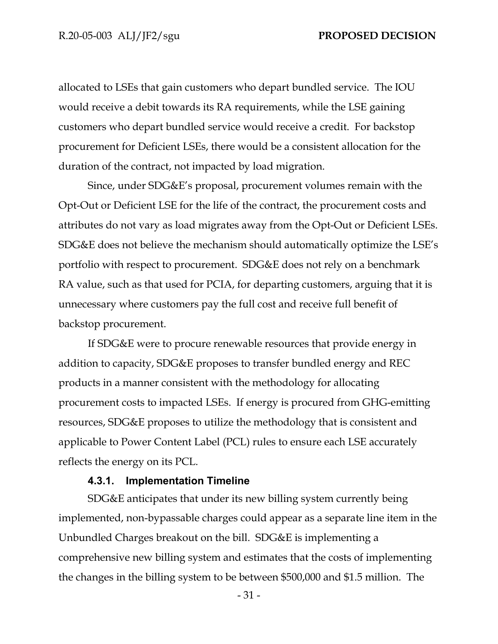allocated to LSEs that gain customers who depart bundled service. The IOU would receive a debit towards its RA requirements, while the LSE gaining customers who depart bundled service would receive a credit. For backstop procurement for Deficient LSEs, there would be a consistent allocation for the duration of the contract, not impacted by load migration.

Since, under SDG&E's proposal, procurement volumes remain with the Opt-Out or Deficient LSE for the life of the contract, the procurement costs and attributes do not vary as load migrates away from the Opt-Out or Deficient LSEs. SDG&E does not believe the mechanism should automatically optimize the LSE's portfolio with respect to procurement. SDG&E does not rely on a benchmark RA value, such as that used for PCIA, for departing customers, arguing that it is unnecessary where customers pay the full cost and receive full benefit of backstop procurement.

If SDG&E were to procure renewable resources that provide energy in addition to capacity, SDG&E proposes to transfer bundled energy and REC products in a manner consistent with the methodology for allocating procurement costs to impacted LSEs. If energy is procured from GHG-emitting resources, SDG&E proposes to utilize the methodology that is consistent and applicable to Power Content Label (PCL) rules to ensure each LSE accurately reflects the energy on its PCL.

#### **4.3.1. Implementation Timeline**

<span id="page-33-0"></span>SDG&E anticipates that under its new billing system currently being implemented, non-bypassable charges could appear as a separate line item in the Unbundled Charges breakout on the bill. SDG&E is implementing a comprehensive new billing system and estimates that the costs of implementing the changes in the billing system to be between \$500,000 and \$1.5 million. The

- 31 -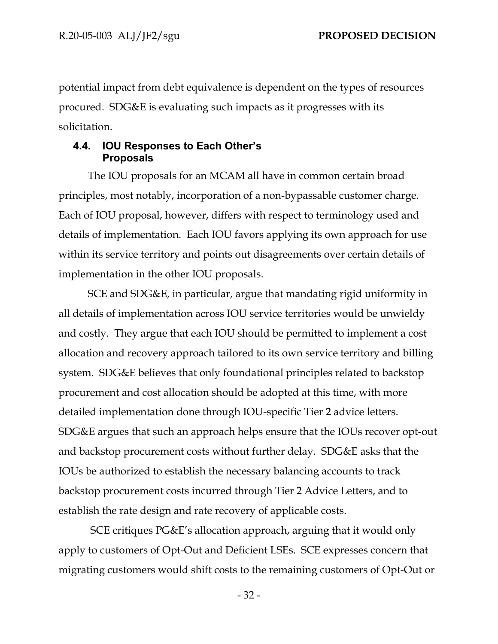potential impact from debt equivalence is dependent on the types of resources procured. SDG&E is evaluating such impacts as it progresses with its solicitation.

# <span id="page-34-0"></span>**4.4. IOU Responses to Each Other's Proposals**

The IOU proposals for an MCAM all have in common certain broad principles, most notably, incorporation of a non-bypassable customer charge. Each of IOU proposal, however, differs with respect to terminology used and details of implementation. Each IOU favors applying its own approach for use within its service territory and points out disagreements over certain details of implementation in the other IOU proposals.

SCE and SDG&E, in particular, argue that mandating rigid uniformity in all details of implementation across IOU service territories would be unwieldy and costly. They argue that each IOU should be permitted to implement a cost allocation and recovery approach tailored to its own service territory and billing system. SDG&E believes that only foundational principles related to backstop procurement and cost allocation should be adopted at this time, with more detailed implementation done through IOU-specific Tier 2 advice letters. SDG&E argues that such an approach helps ensure that the IOUs recover opt-out and backstop procurement costs without further delay. SDG&E asks that the IOUs be authorized to establish the necessary balancing accounts to track backstop procurement costs incurred through Tier 2 Advice Letters, and to establish the rate design and rate recovery of applicable costs.

SCE critiques PG&E's allocation approach, arguing that it would only apply to customers of Opt-Out and Deficient LSEs. SCE expresses concern that migrating customers would shift costs to the remaining customers of Opt-Out or

- 32 -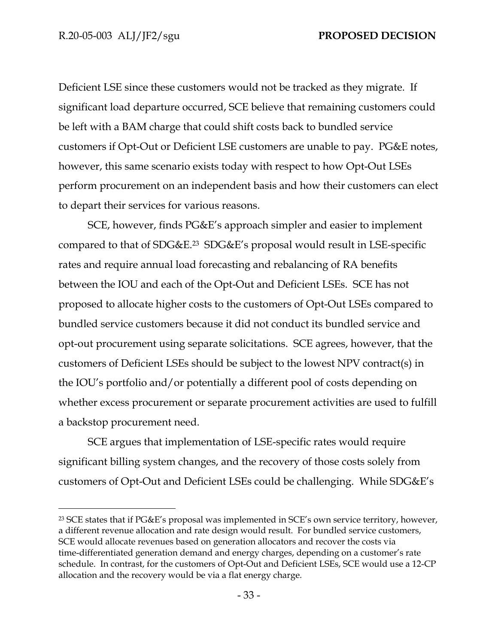Deficient LSE since these customers would not be tracked as they migrate. If significant load departure occurred, SCE believe that remaining customers could be left with a BAM charge that could shift costs back to bundled service customers if Opt-Out or Deficient LSE customers are unable to pay. PG&E notes, however, this same scenario exists today with respect to how Opt-Out LSEs perform procurement on an independent basis and how their customers can elect to depart their services for various reasons.

SCE, however, finds PG&E's approach simpler and easier to implement compared to that of SDG&E.<sup>23</sup> SDG&E's proposal would result in LSE-specific rates and require annual load forecasting and rebalancing of RA benefits between the IOU and each of the Opt-Out and Deficient LSEs. SCE has not proposed to allocate higher costs to the customers of Opt-Out LSEs compared to bundled service customers because it did not conduct its bundled service and opt-out procurement using separate solicitations. SCE agrees, however, that the customers of Deficient LSEs should be subject to the lowest NPV contract(s) in the IOU's portfolio and/or potentially a different pool of costs depending on whether excess procurement or separate procurement activities are used to fulfill a backstop procurement need.

SCE argues that implementation of LSE-specific rates would require significant billing system changes, and the recovery of those costs solely from customers of Opt-Out and Deficient LSEs could be challenging. While SDG&E's

<sup>23</sup> SCE states that if PG&E's proposal was implemented in SCE's own service territory, however, a different revenue allocation and rate design would result. For bundled service customers, SCE would allocate revenues based on generation allocators and recover the costs via time-differentiated generation demand and energy charges, depending on a customer's rate schedule. In contrast, for the customers of Opt-Out and Deficient LSEs, SCE would use a 12-CP allocation and the recovery would be via a flat energy charge.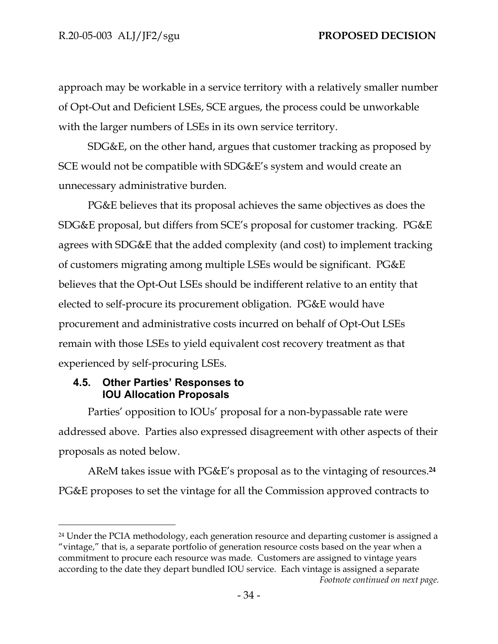approach may be workable in a service territory with a relatively smaller number of Opt-Out and Deficient LSEs, SCE argues, the process could be unworkable with the larger numbers of LSEs in its own service territory.

SDG&E, on the other hand, argues that customer tracking as proposed by SCE would not be compatible with SDG&E's system and would create an unnecessary administrative burden.

PG&E believes that its proposal achieves the same objectives as does the SDG&E proposal, but differs from SCE's proposal for customer tracking. PG&E agrees with SDG&E that the added complexity (and cost) to implement tracking of customers migrating among multiple LSEs would be significant. PG&E believes that the Opt-Out LSEs should be indifferent relative to an entity that elected to self-procure its procurement obligation. PG&E would have procurement and administrative costs incurred on behalf of Opt-Out LSEs remain with those LSEs to yield equivalent cost recovery treatment as that experienced by self-procuring LSEs.

## **4.5. Other Parties' Responses to IOU Allocation Proposals**

Parties' opposition to IOUs' proposal for a non-bypassable rate were addressed above. Parties also expressed disagreement with other aspects of their proposals as noted below.

AReM takes issue with PG&E's proposal as to the vintaging of resources.**<sup>24</sup>**  PG&E proposes to set the vintage for all the Commission approved contracts to

<sup>&</sup>lt;sup>24</sup> Under the PCIA methodology, each generation resource and departing customer is assigned a "vintage," that is, a separate portfolio of generation resource costs based on the year when a commitment to procure each resource was made. Customers are assigned to vintage years according to the date they depart bundled IOU service. Each vintage is assigned a separate *Footnote continued on next page.*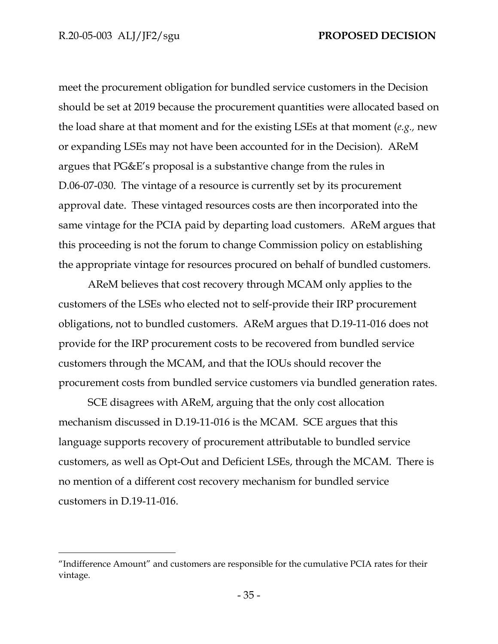meet the procurement obligation for bundled service customers in the Decision should be set at 2019 because the procurement quantities were allocated based on the load share at that moment and for the existing LSEs at that moment (*e.g.,* new or expanding LSEs may not have been accounted for in the Decision).AReM argues that PG&E's proposal is a substantive change from the rules in D.06-07-030. The vintage of a resource is currently set by its procurement approval date. These vintaged resources costs are then incorporated into the same vintage for the PCIA paid by departing load customers. AReM argues that this proceeding is not the forum to change Commission policy on establishing the appropriate vintage for resources procured on behalf of bundled customers.

AReM believes that cost recovery through MCAM only applies to the customers of the LSEs who elected not to self-provide their IRP procurement obligations, not to bundled customers. AReM argues that D.19-11-016 does not provide for the IRP procurement costs to be recovered from bundled service customers through the MCAM, and that the IOUs should recover the procurement costs from bundled service customers via bundled generation rates.

SCE disagrees with AReM, arguing that the only cost allocation mechanism discussed in D.19-11-016 is the MCAM. SCE argues that this language supports recovery of procurement attributable to bundled service customers, as well as Opt-Out and Deficient LSEs, through the MCAM. There is no mention of a different cost recovery mechanism for bundled service customers in D.19-11-016.

<sup>&</sup>quot;Indifference Amount" and customers are responsible for the cumulative PCIA rates for their vintage.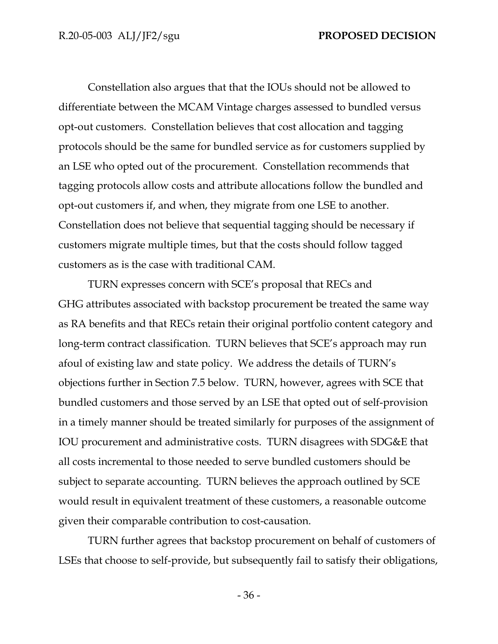Constellation also argues that that the IOUs should not be allowed to differentiate between the MCAM Vintage charges assessed to bundled versus opt-out customers. Constellation believes that cost allocation and tagging protocols should be the same for bundled service as for customers supplied by an LSE who opted out of the procurement. Constellation recommends that tagging protocols allow costs and attribute allocations follow the bundled and opt-out customers if, and when, they migrate from one LSE to another. Constellation does not believe that sequential tagging should be necessary if customers migrate multiple times, but that the costs should follow tagged customers as is the case with traditional CAM.

TURN expresses concern with SCE's proposal that RECs and GHG attributes associated with backstop procurement be treated the same way as RA benefits and that RECs retain their original portfolio content category and long-term contract classification. TURN believes that SCE's approach may run afoul of existing law and state policy. We address the details of TURN's objections further in Section 7.5 below. TURN, however, agrees with SCE that bundled customers and those served by an LSE that opted out of self-provision in a timely manner should be treated similarly for purposes of the assignment of IOU procurement and administrative costs. TURN disagrees with SDG&E that all costs incremental to those needed to serve bundled customers should be subject to separate accounting. TURN believes the approach outlined by SCE would result in equivalent treatment of these customers, a reasonable outcome given their comparable contribution to cost-causation.

TURN further agrees that backstop procurement on behalf of customers of LSEs that choose to self-provide, but subsequently fail to satisfy their obligations,

- 36 -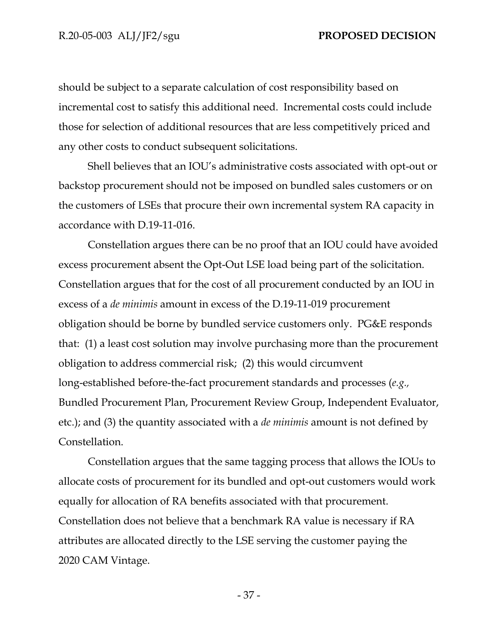should be subject to a separate calculation of cost responsibility based on incremental cost to satisfy this additional need. Incremental costs could include those for selection of additional resources that are less competitively priced and any other costs to conduct subsequent solicitations.

Shell believes that an IOU's administrative costs associated with opt-out or backstop procurement should not be imposed on bundled sales customers or on the customers of LSEs that procure their own incremental system RA capacity in accordance with D.19-11-016.

Constellation argues there can be no proof that an IOU could have avoided excess procurement absent the Opt-Out LSE load being part of the solicitation. Constellation argues that for the cost of all procurement conducted by an IOU in excess of a *de minimis* amount in excess of the D.19-11-019 procurement obligation should be borne by bundled service customers only. PG&E responds that: (1) a least cost solution may involve purchasing more than the procurement obligation to address commercial risk; (2) this would circumvent long-established before-the-fact procurement standards and processes (*e.g.,* Bundled Procurement Plan, Procurement Review Group, Independent Evaluator, etc.); and (3) the quantity associated with a *de minimis* amount is not defined by Constellation.

Constellation argues that the same tagging process that allows the IOUs to allocate costs of procurement for its bundled and opt-out customers would work equally for allocation of RA benefits associated with that procurement. Constellation does not believe that a benchmark RA value is necessary if RA attributes are allocated directly to the LSE serving the customer paying the 2020 CAM Vintage.

- 37 -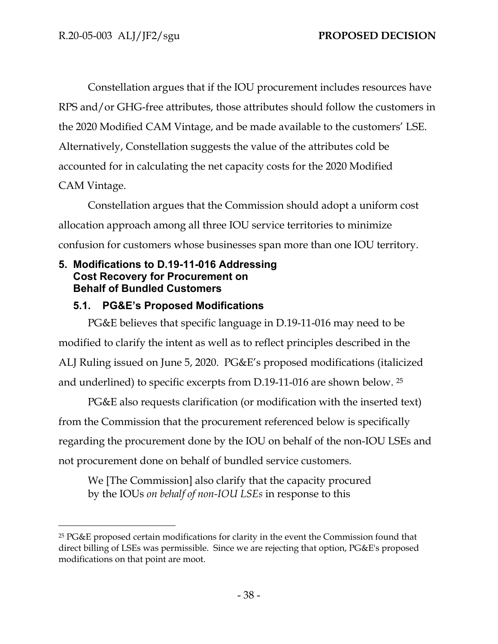Constellation argues that if the IOU procurement includes resources have RPS and/or GHG-free attributes, those attributes should follow the customers in the 2020 Modified CAM Vintage, and be made available to the customers' LSE. Alternatively, Constellation suggests the value of the attributes cold be accounted for in calculating the net capacity costs for the 2020 Modified CAM Vintage.

Constellation argues that the Commission should adopt a uniform cost allocation approach among all three IOU service territories to minimize confusion for customers whose businesses span more than one IOU territory.

## **5. Modifications to D.19-11-016 Addressing Cost Recovery for Procurement on Behalf of Bundled Customers**

# **5.1. PG&E's Proposed Modifications**

PG&E believes that specific language in D.19-11-016 may need to be modified to clarify the intent as well as to reflect principles described in the ALJ Ruling issued on June 5, 2020. PG&E's proposed modifications (italicized and underlined) to specific excerpts from D.19-11-016 are shown below. <sup>25</sup>

PG&E also requests clarification (or modification with the inserted text) from the Commission that the procurement referenced below is specifically regarding the procurement done by the IOU on behalf of the non-IOU LSEs and not procurement done on behalf of bundled service customers.

We [The Commission] also clarify that the capacity procured by the IOUs *on behalf of non-IOU LSEs* in response to this

<sup>25</sup> PG&E proposed certain modifications for clarity in the event the Commission found that direct billing of LSEs was permissible. Since we are rejecting that option, PG&E's proposed modifications on that point are moot.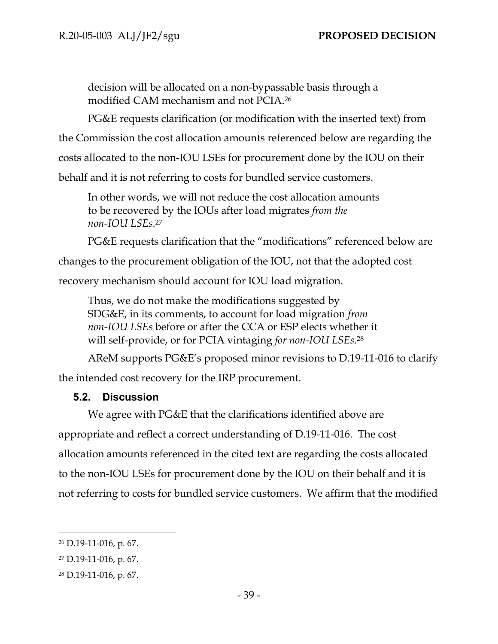decision will be allocated on a non-bypassable basis through a modified CAM mechanism and not PCIA.<sup>26</sup>

PG&E requests clarification (or modification with the inserted text) from

the Commission the cost allocation amounts referenced below are regarding the

costs allocated to the non-IOU LSEs for procurement done by the IOU on their

behalf and it is not referring to costs for bundled service customers.

In other words, we will not reduce the cost allocation amounts to be recovered by the IOUs after load migrates *from the non-IOU LSEs*. 27

PG&E requests clarification that the "modifications" referenced below are

changes to the procurement obligation of the IOU, not that the adopted cost recovery mechanism should account for IOU load migration.

Thus, we do not make the modifications suggested by SDG&E, in its comments, to account for load migration *from non-IOU LSEs* before or after the CCA or ESP elects whether it will self-provide, or for PCIA vintaging *for non-IOU LSEs*. 28

AReM supports PG&E's proposed minor revisions to D.19-11-016 to clarify the intended cost recovery for the IRP procurement.

## **5.2. Discussion**

We agree with PG&E that the clarifications identified above are appropriate and reflect a correct understanding of D.19-11-016. The cost allocation amounts referenced in the cited text are regarding the costs allocated to the non-IOU LSEs for procurement done by the IOU on their behalf and it is not referring to costs for bundled service customers. We affirm that the modified

<sup>26</sup> D.19-11-016, p. 67.

<sup>27</sup> D.19-11-016, p. 67.

<sup>28</sup> D.19-11-016, p. 67.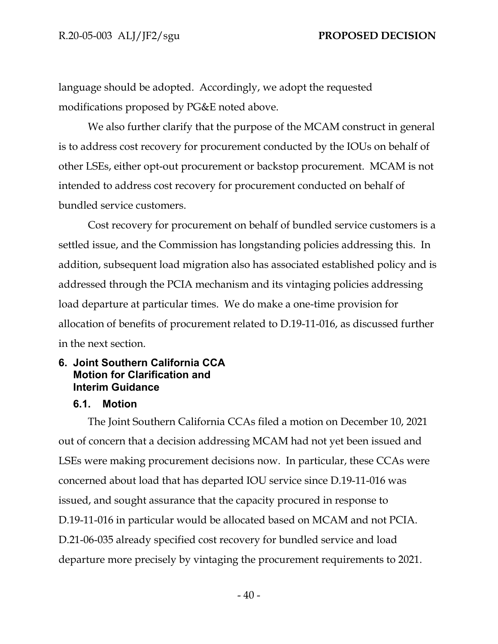language should be adopted. Accordingly, we adopt the requested modifications proposed by PG&E noted above.

We also further clarify that the purpose of the MCAM construct in general is to address cost recovery for procurement conducted by the IOUs on behalf of other LSEs, either opt-out procurement or backstop procurement. MCAM is not intended to address cost recovery for procurement conducted on behalf of bundled service customers.

Cost recovery for procurement on behalf of bundled service customers is a settled issue, and the Commission has longstanding policies addressing this. In addition, subsequent load migration also has associated established policy and is addressed through the PCIA mechanism and its vintaging policies addressing load departure at particular times. We do make a one-time provision for allocation of benefits of procurement related to D.19-11-016, as discussed further in the next section.

## **6. Joint Southern California CCA Motion for Clarification and Interim Guidance**

### **6.1. Motion**

The Joint Southern California CCAs filed a motion on December 10, 2021 out of concern that a decision addressing MCAM had not yet been issued and LSEs were making procurement decisions now. In particular, these CCAs were concerned about load that has departed IOU service since D.19-11-016 was issued, and sought assurance that the capacity procured in response to D.19-11-016 in particular would be allocated based on MCAM and not PCIA. D.21-06-035 already specified cost recovery for bundled service and load departure more precisely by vintaging the procurement requirements to 2021.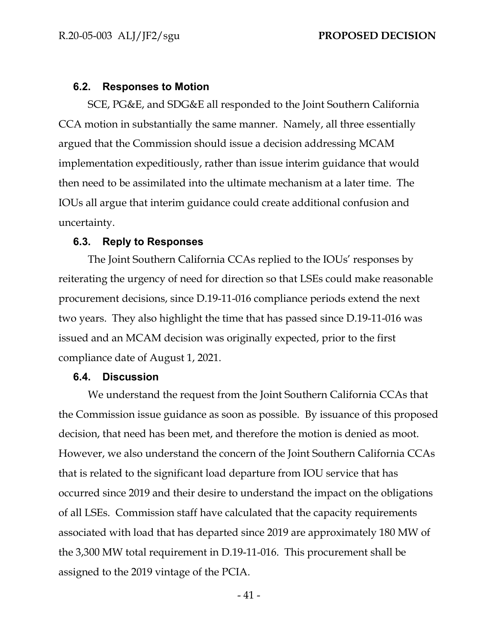#### **6.2. Responses to Motion**

SCE, PG&E, and SDG&E all responded to the Joint Southern California CCA motion in substantially the same manner. Namely, all three essentially argued that the Commission should issue a decision addressing MCAM implementation expeditiously, rather than issue interim guidance that would then need to be assimilated into the ultimate mechanism at a later time. The IOUs all argue that interim guidance could create additional confusion and uncertainty.

#### **6.3. Reply to Responses**

The Joint Southern California CCAs replied to the IOUs' responses by reiterating the urgency of need for direction so that LSEs could make reasonable procurement decisions, since D.19-11-016 compliance periods extend the next two years. They also highlight the time that has passed since D.19-11-016 was issued and an MCAM decision was originally expected, prior to the first compliance date of August 1, 2021.

#### **6.4. Discussion**

We understand the request from the Joint Southern California CCAs that the Commission issue guidance as soon as possible. By issuance of this proposed decision, that need has been met, and therefore the motion is denied as moot. However, we also understand the concern of the Joint Southern California CCAs that is related to the significant load departure from IOU service that has occurred since 2019 and their desire to understand the impact on the obligations of all LSEs. Commission staff have calculated that the capacity requirements associated with load that has departed since 2019 are approximately 180 MW of the 3,300 MW total requirement in D.19-11-016. This procurement shall be assigned to the 2019 vintage of the PCIA.

- 41 -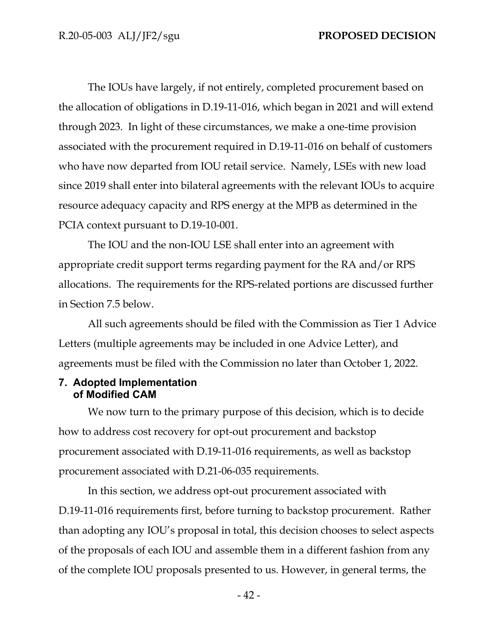The IOUs have largely, if not entirely, completed procurement based on the allocation of obligations in D.19-11-016, which began in 2021 and will extend through 2023. In light of these circumstances, we make a one-time provision associated with the procurement required in D.19-11-016 on behalf of customers who have now departed from IOU retail service. Namely, LSEs with new load since 2019 shall enter into bilateral agreements with the relevant IOUs to acquire resource adequacy capacity and RPS energy at the MPB as determined in the PCIA context pursuant to D.19-10-001.

The IOU and the non-IOU LSE shall enter into an agreement with appropriate credit support terms regarding payment for the RA and/or RPS allocations. The requirements for the RPS-related portions are discussed further in Section 7.5 below.

All such agreements should be filed with the Commission as Tier 1 Advice Letters (multiple agreements may be included in one Advice Letter), and agreements must be filed with the Commission no later than October 1, 2022.

### **7. Adopted Implementation of Modified CAM**

We now turn to the primary purpose of this decision, which is to decide how to address cost recovery for opt-out procurement and backstop procurement associated with D.19-11-016 requirements, as well as backstop procurement associated with D.21-06-035 requirements.

In this section, we address opt-out procurement associated with D.19-11-016 requirements first, before turning to backstop procurement. Rather than adopting any IOU's proposal in total, this decision chooses to select aspects of the proposals of each IOU and assemble them in a different fashion from any of the complete IOU proposals presented to us. However, in general terms, the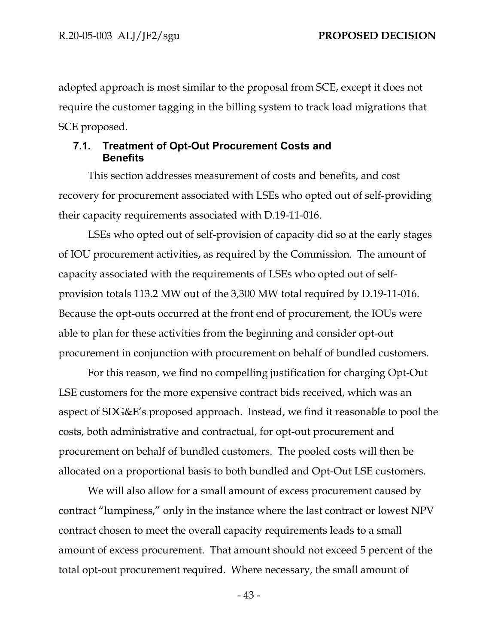adopted approach is most similar to the proposal from SCE, except it does not require the customer tagging in the billing system to track load migrations that SCE proposed.

## **7.1. Treatment of Opt-Out Procurement Costs and Benefits**

This section addresses measurement of costs and benefits, and cost recovery for procurement associated with LSEs who opted out of self-providing their capacity requirements associated with D.19-11-016.

LSEs who opted out of self-provision of capacity did so at the early stages of IOU procurement activities, as required by the Commission. The amount of capacity associated with the requirements of LSEs who opted out of selfprovision totals 113.2 MW out of the 3,300 MW total required by D.19-11-016. Because the opt-outs occurred at the front end of procurement, the IOUs were able to plan for these activities from the beginning and consider opt-out procurement in conjunction with procurement on behalf of bundled customers.

For this reason, we find no compelling justification for charging Opt-Out LSE customers for the more expensive contract bids received, which was an aspect of SDG&E's proposed approach. Instead, we find it reasonable to pool the costs, both administrative and contractual, for opt-out procurement and procurement on behalf of bundled customers. The pooled costs will then be allocated on a proportional basis to both bundled and Opt-Out LSE customers.

We will also allow for a small amount of excess procurement caused by contract "lumpiness," only in the instance where the last contract or lowest NPV contract chosen to meet the overall capacity requirements leads to a small amount of excess procurement. That amount should not exceed 5 percent of the total opt-out procurement required. Where necessary, the small amount of

- 43 -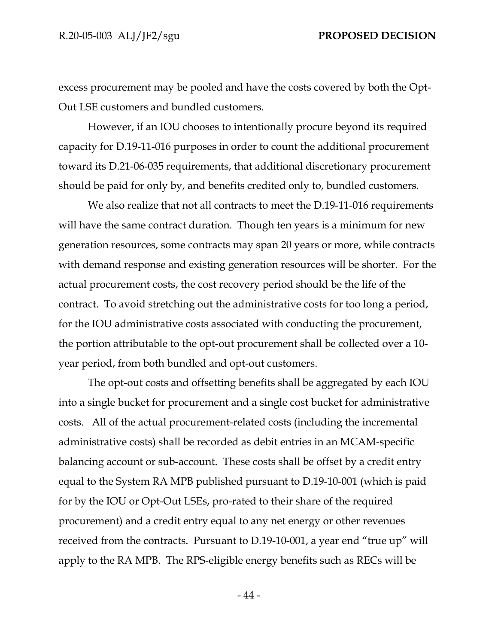excess procurement may be pooled and have the costs covered by both the Opt-Out LSE customers and bundled customers.

However, if an IOU chooses to intentionally procure beyond its required capacity for D.19-11-016 purposes in order to count the additional procurement toward its D.21-06-035 requirements, that additional discretionary procurement should be paid for only by, and benefits credited only to, bundled customers.

We also realize that not all contracts to meet the D.19-11-016 requirements will have the same contract duration. Though ten years is a minimum for new generation resources, some contracts may span 20 years or more, while contracts with demand response and existing generation resources will be shorter. For the actual procurement costs, the cost recovery period should be the life of the contract. To avoid stretching out the administrative costs for too long a period, for the IOU administrative costs associated with conducting the procurement, the portion attributable to the opt-out procurement shall be collected over a 10 year period, from both bundled and opt-out customers.

The opt-out costs and offsetting benefits shall be aggregated by each IOU into a single bucket for procurement and a single cost bucket for administrative costs. All of the actual procurement-related costs (including the incremental administrative costs) shall be recorded as debit entries in an MCAM-specific balancing account or sub-account. These costs shall be offset by a credit entry equal to the System RA MPB published pursuant to D.19-10-001 (which is paid for by the IOU or Opt-Out LSEs, pro-rated to their share of the required procurement) and a credit entry equal to any net energy or other revenues received from the contracts. Pursuant to D.19-10-001, a year end "true up" will apply to the RA MPB. The RPS-eligible energy benefits such as RECs will be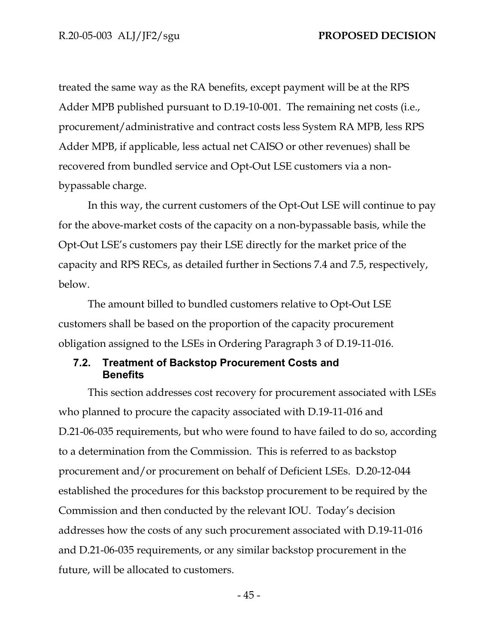treated the same way as the RA benefits, except payment will be at the RPS Adder MPB published pursuant to D.19-10-001. The remaining net costs (i.e., procurement/administrative and contract costs less System RA MPB, less RPS Adder MPB, if applicable, less actual net CAISO or other revenues) shall be recovered from bundled service and Opt-Out LSE customers via a nonbypassable charge.

In this way, the current customers of the Opt-Out LSE will continue to pay for the above-market costs of the capacity on a non-bypassable basis, while the Opt-Out LSE's customers pay their LSE directly for the market price of the capacity and RPS RECs, as detailed further in Sections 7.4 and 7.5, respectively, below.

The amount billed to bundled customers relative to Opt-Out LSE customers shall be based on the proportion of the capacity procurement obligation assigned to the LSEs in Ordering Paragraph 3 of D.19-11-016.

## **7.2. Treatment of Backstop Procurement Costs and Benefits**

This section addresses cost recovery for procurement associated with LSEs who planned to procure the capacity associated with D.19-11-016 and D.21-06-035 requirements, but who were found to have failed to do so, according to a determination from the Commission. This is referred to as backstop procurement and/or procurement on behalf of Deficient LSEs. D.20-12-044 established the procedures for this backstop procurement to be required by the Commission and then conducted by the relevant IOU. Today's decision addresses how the costs of any such procurement associated with D.19-11-016 and D.21-06-035 requirements, or any similar backstop procurement in the future, will be allocated to customers.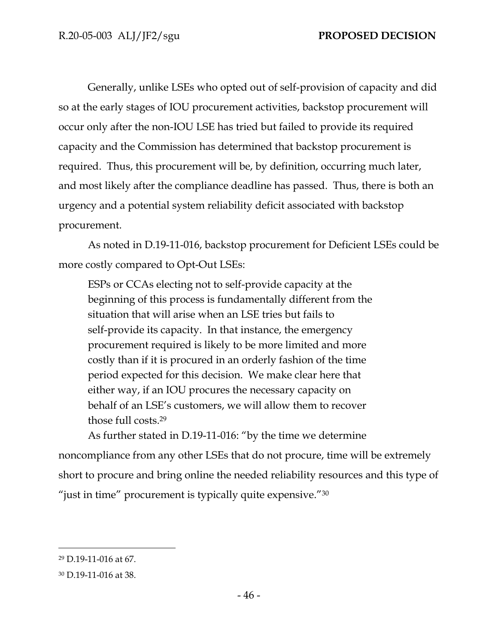Generally, unlike LSEs who opted out of self-provision of capacity and did so at the early stages of IOU procurement activities, backstop procurement will occur only after the non-IOU LSE has tried but failed to provide its required capacity and the Commission has determined that backstop procurement is required. Thus, this procurement will be, by definition, occurring much later, and most likely after the compliance deadline has passed. Thus, there is both an urgency and a potential system reliability deficit associated with backstop procurement.

As noted in D.19-11-016, backstop procurement for Deficient LSEs could be more costly compared to Opt-Out LSEs:

ESPs or CCAs electing not to self-provide capacity at the beginning of this process is fundamentally different from the situation that will arise when an LSE tries but fails to self-provide its capacity. In that instance, the emergency procurement required is likely to be more limited and more costly than if it is procured in an orderly fashion of the time period expected for this decision. We make clear here that either way, if an IOU procures the necessary capacity on behalf of an LSE's customers, we will allow them to recover those full costs.<sup>29</sup>

As further stated in D.19-11-016: "by the time we determine noncompliance from any other LSEs that do not procure, time will be extremely short to procure and bring online the needed reliability resources and this type of "just in time" procurement is typically quite expensive."30

<sup>29</sup> D.19-11-016 at 67.

<sup>30</sup> D.19-11-016 at 38.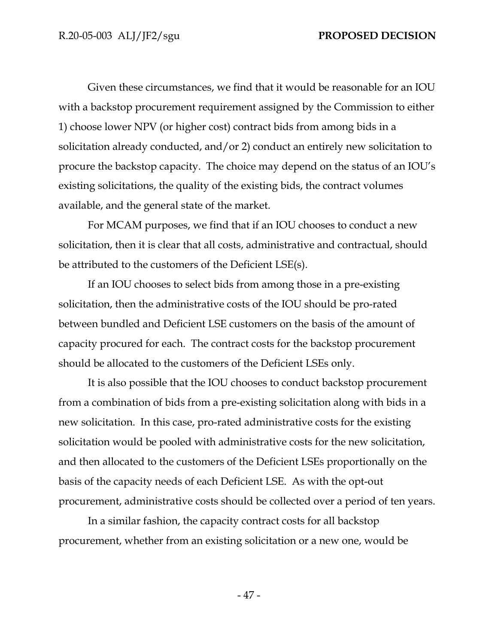Given these circumstances, we find that it would be reasonable for an IOU with a backstop procurement requirement assigned by the Commission to either 1) choose lower NPV (or higher cost) contract bids from among bids in a solicitation already conducted, and/or 2) conduct an entirely new solicitation to procure the backstop capacity. The choice may depend on the status of an IOU's existing solicitations, the quality of the existing bids, the contract volumes available, and the general state of the market.

For MCAM purposes, we find that if an IOU chooses to conduct a new solicitation, then it is clear that all costs, administrative and contractual, should be attributed to the customers of the Deficient LSE(s).

If an IOU chooses to select bids from among those in a pre-existing solicitation, then the administrative costs of the IOU should be pro-rated between bundled and Deficient LSE customers on the basis of the amount of capacity procured for each. The contract costs for the backstop procurement should be allocated to the customers of the Deficient LSEs only.

It is also possible that the IOU chooses to conduct backstop procurement from a combination of bids from a pre-existing solicitation along with bids in a new solicitation. In this case, pro-rated administrative costs for the existing solicitation would be pooled with administrative costs for the new solicitation, and then allocated to the customers of the Deficient LSEs proportionally on the basis of the capacity needs of each Deficient LSE. As with the opt-out procurement, administrative costs should be collected over a period of ten years.

In a similar fashion, the capacity contract costs for all backstop procurement, whether from an existing solicitation or a new one, would be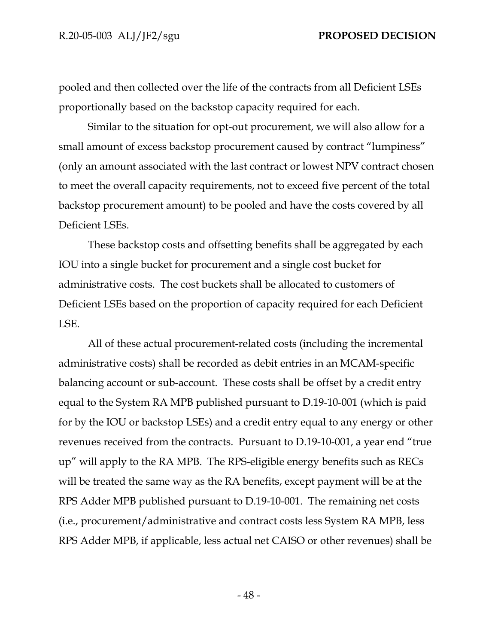pooled and then collected over the life of the contracts from all Deficient LSEs proportionally based on the backstop capacity required for each.

Similar to the situation for opt-out procurement, we will also allow for a small amount of excess backstop procurement caused by contract "lumpiness" (only an amount associated with the last contract or lowest NPV contract chosen to meet the overall capacity requirements, not to exceed five percent of the total backstop procurement amount) to be pooled and have the costs covered by all Deficient LSEs.

These backstop costs and offsetting benefits shall be aggregated by each IOU into a single bucket for procurement and a single cost bucket for administrative costs. The cost buckets shall be allocated to customers of Deficient LSEs based on the proportion of capacity required for each Deficient LSE.

All of these actual procurement-related costs (including the incremental administrative costs) shall be recorded as debit entries in an MCAM-specific balancing account or sub-account. These costs shall be offset by a credit entry equal to the System RA MPB published pursuant to D.19-10-001 (which is paid for by the IOU or backstop LSEs) and a credit entry equal to any energy or other revenues received from the contracts. Pursuant to D.19-10-001, a year end "true up" will apply to the RA MPB. The RPS-eligible energy benefits such as RECs will be treated the same way as the RA benefits, except payment will be at the RPS Adder MPB published pursuant to D.19-10-001. The remaining net costs (i.e., procurement/administrative and contract costs less System RA MPB, less RPS Adder MPB, if applicable, less actual net CAISO or other revenues) shall be

- 48 -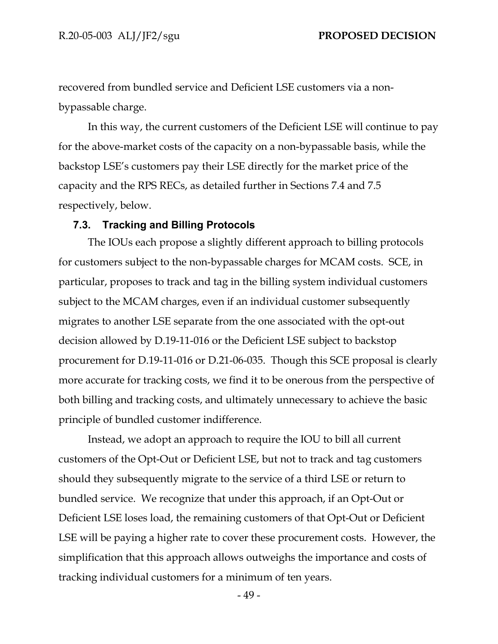recovered from bundled service and Deficient LSE customers via a nonbypassable charge.

In this way, the current customers of the Deficient LSE will continue to pay for the above-market costs of the capacity on a non-bypassable basis, while the backstop LSE's customers pay their LSE directly for the market price of the capacity and the RPS RECs, as detailed further in Sections 7.4 and 7.5 respectively, below.

#### **7.3. Tracking and Billing Protocols**

The IOUs each propose a slightly different approach to billing protocols for customers subject to the non-bypassable charges for MCAM costs. SCE, in particular, proposes to track and tag in the billing system individual customers subject to the MCAM charges, even if an individual customer subsequently migrates to another LSE separate from the one associated with the opt-out decision allowed by D.19-11-016 or the Deficient LSE subject to backstop procurement for D.19-11-016 or D.21-06-035. Though this SCE proposal is clearly more accurate for tracking costs, we find it to be onerous from the perspective of both billing and tracking costs, and ultimately unnecessary to achieve the basic principle of bundled customer indifference.

Instead, we adopt an approach to require the IOU to bill all current customers of the Opt-Out or Deficient LSE, but not to track and tag customers should they subsequently migrate to the service of a third LSE or return to bundled service. We recognize that under this approach, if an Opt-Out or Deficient LSE loses load, the remaining customers of that Opt-Out or Deficient LSE will be paying a higher rate to cover these procurement costs. However, the simplification that this approach allows outweighs the importance and costs of tracking individual customers for a minimum of ten years.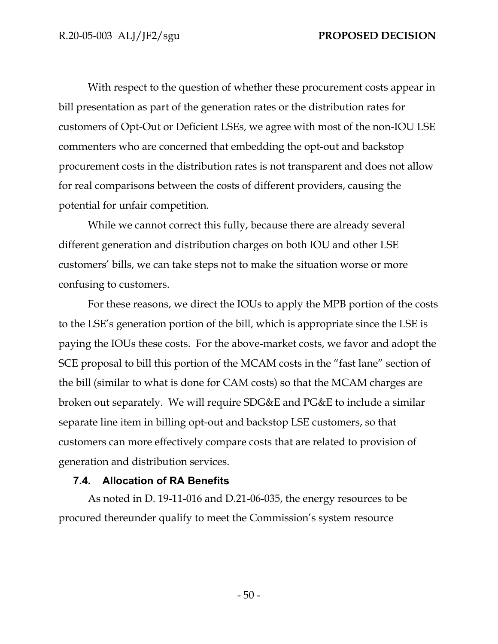With respect to the question of whether these procurement costs appear in bill presentation as part of the generation rates or the distribution rates for customers of Opt-Out or Deficient LSEs, we agree with most of the non-IOU LSE commenters who are concerned that embedding the opt-out and backstop procurement costs in the distribution rates is not transparent and does not allow for real comparisons between the costs of different providers, causing the potential for unfair competition.

While we cannot correct this fully, because there are already several different generation and distribution charges on both IOU and other LSE customers' bills, we can take steps not to make the situation worse or more confusing to customers.

For these reasons, we direct the IOUs to apply the MPB portion of the costs to the LSE's generation portion of the bill, which is appropriate since the LSE is paying the IOUs these costs. For the above-market costs, we favor and adopt the SCE proposal to bill this portion of the MCAM costs in the "fast lane" section of the bill (similar to what is done for CAM costs) so that the MCAM charges are broken out separately. We will require SDG&E and PG&E to include a similar separate line item in billing opt-out and backstop LSE customers, so that customers can more effectively compare costs that are related to provision of generation and distribution services.

### **7.4. Allocation of RA Benefits**

As noted in D. 19-11-016 and D.21-06-035, the energy resources to be procured thereunder qualify to meet the Commission's system resource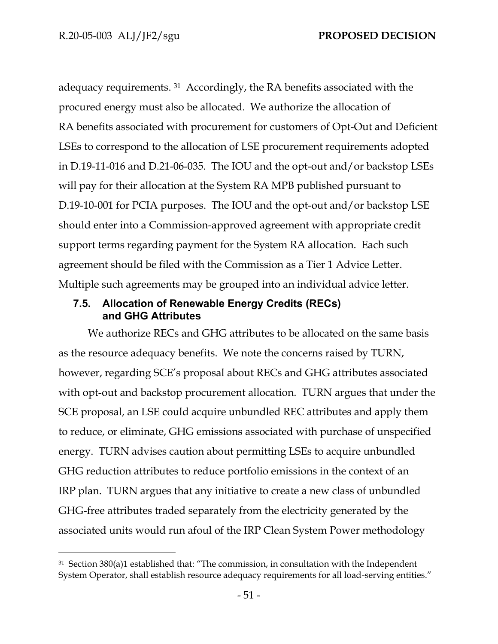adequacy requirements. <sup>31</sup> Accordingly, the RA benefits associated with the procured energy must also be allocated. We authorize the allocation of RA benefits associated with procurement for customers of Opt-Out and Deficient LSEs to correspond to the allocation of LSE procurement requirements adopted in D.19-11-016 and D.21-06-035. The IOU and the opt-out and/or backstop LSEs will pay for their allocation at the System RA MPB published pursuant to D.19-10-001 for PCIA purposes. The IOU and the opt-out and/or backstop LSE should enter into a Commission-approved agreement with appropriate credit support terms regarding payment for the System RA allocation. Each such agreement should be filed with the Commission as a Tier 1 Advice Letter. Multiple such agreements may be grouped into an individual advice letter.

## **7.5. Allocation of Renewable Energy Credits (RECs) and GHG Attributes**

We authorize RECs and GHG attributes to be allocated on the same basis as the resource adequacy benefits. We note the concerns raised by TURN, however, regarding SCE's proposal about RECs and GHG attributes associated with opt-out and backstop procurement allocation. TURN argues that under the SCE proposal, an LSE could acquire unbundled REC attributes and apply them to reduce, or eliminate, GHG emissions associated with purchase of unspecified energy. TURN advises caution about permitting LSEs to acquire unbundled GHG reduction attributes to reduce portfolio emissions in the context of an IRP plan. TURN argues that any initiative to create a new class of unbundled GHG-free attributes traded separately from the electricity generated by the associated units would run afoul of the IRP Clean System Power methodology

<sup>31</sup> Section 380(a)1 established that: "The commission, in consultation with the Independent System Operator, shall establish resource adequacy requirements for all load-serving entities."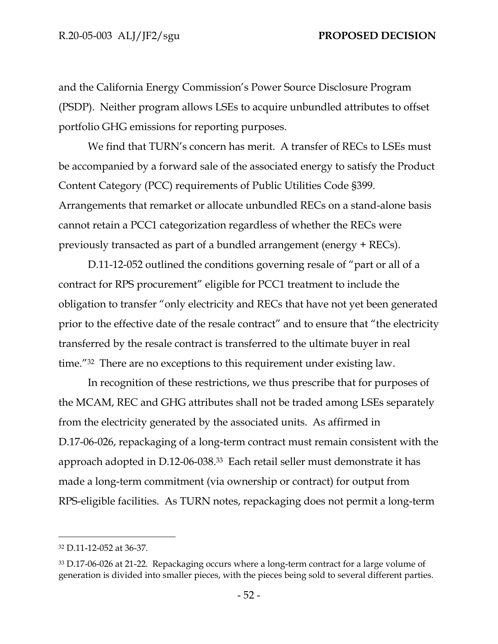and the California Energy Commission's Power Source Disclosure Program (PSDP). Neither program allows LSEs to acquire unbundled attributes to offset portfolio GHG emissions for reporting purposes.

We find that TURN's concern has merit. A transfer of RECs to LSEs must be accompanied by a forward sale of the associated energy to satisfy the Product Content Category (PCC) requirements of Public Utilities Code §399. Arrangements that remarket or allocate unbundled RECs on a stand-alone basis cannot retain a PCC1 categorization regardless of whether the RECs were previously transacted as part of a bundled arrangement (energy + RECs).

D.11-12-052 outlined the conditions governing resale of "part or all of a contract for RPS procurement" eligible for PCC1 treatment to include the obligation to transfer "only electricity and RECs that have not yet been generated prior to the effective date of the resale contract" and to ensure that "the electricity transferred by the resale contract is transferred to the ultimate buyer in real time."32 There are no exceptions to this requirement under existing law.

In recognition of these restrictions, we thus prescribe that for purposes of the MCAM, REC and GHG attributes shall not be traded among LSEs separately from the electricity generated by the associated units. As affirmed in D.17-06-026, repackaging of a long-term contract must remain consistent with the approach adopted in D.12-06-038.33 Each retail seller must demonstrate it has made a long-term commitment (via ownership or contract) for output from RPS-eligible facilities. As TURN notes, repackaging does not permit a long-term

<sup>32</sup> D.11-12-052 at 36-37.

<sup>33</sup> D.17-06-026 at 21-22. Repackaging occurs where a long-term contract for a large volume of generation is divided into smaller pieces, with the pieces being sold to several different parties.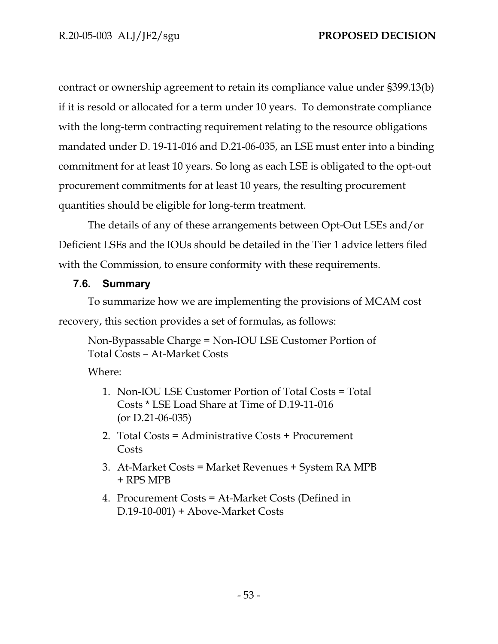contract or ownership agreement to retain its compliance value under §399.13(b) if it is resold or allocated for a term under 10 years. To demonstrate compliance with the long-term contracting requirement relating to the resource obligations mandated under D. 19-11-016 and D.21-06-035, an LSE must enter into a binding commitment for at least 10 years. So long as each LSE is obligated to the opt-out procurement commitments for at least 10 years, the resulting procurement quantities should be eligible for long-term treatment.

The details of any of these arrangements between Opt-Out LSEs and/or Deficient LSEs and the IOUs should be detailed in the Tier 1 advice letters filed with the Commission, to ensure conformity with these requirements.

## **7.6. Summary**

To summarize how we are implementing the provisions of MCAM cost recovery, this section provides a set of formulas, as follows:

Non-Bypassable Charge = Non-IOU LSE Customer Portion of Total Costs – At-Market Costs

Where:

- 1. Non-IOU LSE Customer Portion of Total Costs = Total Costs \* LSE Load Share at Time of D.19-11-016 (or D.21-06-035)
- 2. Total Costs = Administrative Costs + Procurement Costs
- 3. At-Market Costs = Market Revenues + System RA MPB + RPS MPB
- 4. Procurement Costs = At-Market Costs (Defined in D.19-10-001) + Above-Market Costs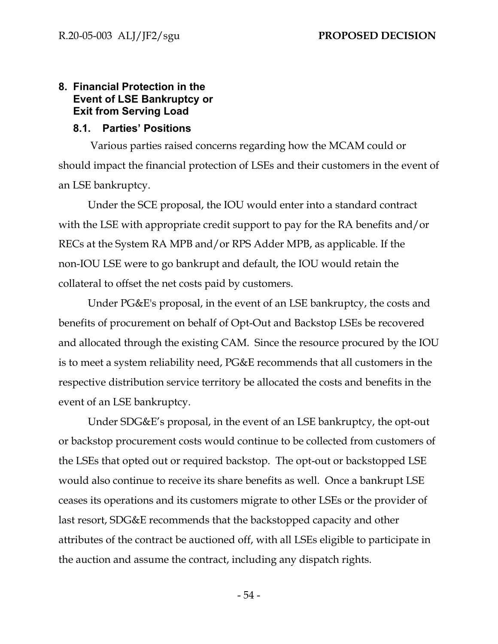## **8. Financial Protection in the Event of LSE Bankruptcy or Exit from Serving Load**

## **8.1. Parties' Positions**

Various parties raised concerns regarding how the MCAM could or should impact the financial protection of LSEs and their customers in the event of an LSE bankruptcy.

Under the SCE proposal, the IOU would enter into a standard contract with the LSE with appropriate credit support to pay for the RA benefits and/or RECs at the System RA MPB and/or RPS Adder MPB, as applicable. If the non-IOU LSE were to go bankrupt and default, the IOU would retain the collateral to offset the net costs paid by customers.

Under PG&E's proposal, in the event of an LSE bankruptcy, the costs and benefits of procurement on behalf of Opt-Out and Backstop LSEs be recovered and allocated through the existing CAM. Since the resource procured by the IOU is to meet a system reliability need, PG&E recommends that all customers in the respective distribution service territory be allocated the costs and benefits in the event of an LSE bankruptcy.

Under SDG&E's proposal, in the event of an LSE bankruptcy, the opt-out or backstop procurement costs would continue to be collected from customers of the LSEs that opted out or required backstop. The opt-out or backstopped LSE would also continue to receive its share benefits as well. Once a bankrupt LSE ceases its operations and its customers migrate to other LSEs or the provider of last resort, SDG&E recommends that the backstopped capacity and other attributes of the contract be auctioned off, with all LSEs eligible to participate in the auction and assume the contract, including any dispatch rights.

- 54 -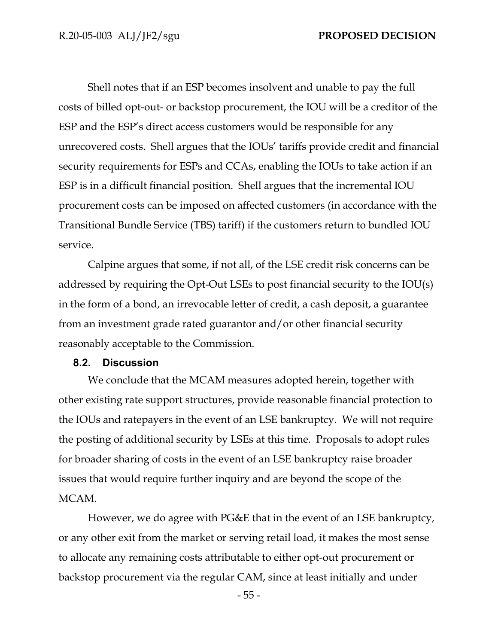Shell notes that if an ESP becomes insolvent and unable to pay the full costs of billed opt-out- or backstop procurement, the IOU will be a creditor of the ESP and the ESP's direct access customers would be responsible for any unrecovered costs. Shell argues that the IOUs' tariffs provide credit and financial security requirements for ESPs and CCAs, enabling the IOUs to take action if an ESP is in a difficult financial position. Shell argues that the incremental IOU procurement costs can be imposed on affected customers (in accordance with the Transitional Bundle Service (TBS) tariff) if the customers return to bundled IOU service.

Calpine argues that some, if not all, of the LSE credit risk concerns can be addressed by requiring the Opt-Out LSEs to post financial security to the IOU(s) in the form of a bond, an irrevocable letter of credit, a cash deposit, a guarantee from an investment grade rated guarantor and/or other financial security reasonably acceptable to the Commission.

#### **8.2. Discussion**

We conclude that the MCAM measures adopted herein, together with other existing rate support structures, provide reasonable financial protection to the IOUs and ratepayers in the event of an LSE bankruptcy. We will not require the posting of additional security by LSEs at this time. Proposals to adopt rules for broader sharing of costs in the event of an LSE bankruptcy raise broader issues that would require further inquiry and are beyond the scope of the MCAM.

However, we do agree with PG&E that in the event of an LSE bankruptcy, or any other exit from the market or serving retail load, it makes the most sense to allocate any remaining costs attributable to either opt-out procurement or backstop procurement via the regular CAM, since at least initially and under

- 55 -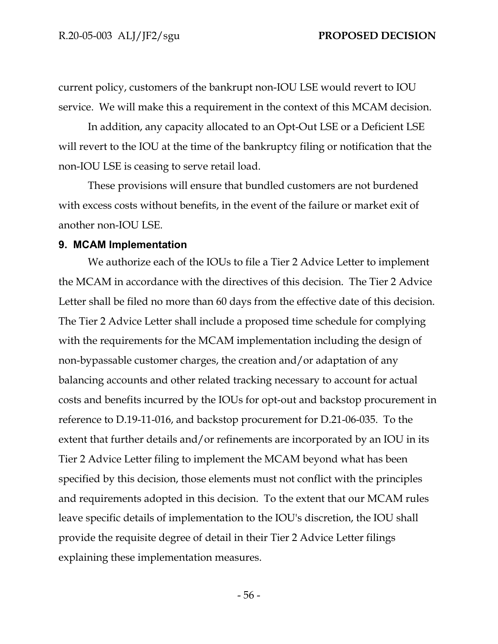current policy, customers of the bankrupt non-IOU LSE would revert to IOU service. We will make this a requirement in the context of this MCAM decision.

In addition, any capacity allocated to an Opt-Out LSE or a Deficient LSE will revert to the IOU at the time of the bankruptcy filing or notification that the non-IOU LSE is ceasing to serve retail load.

These provisions will ensure that bundled customers are not burdened with excess costs without benefits, in the event of the failure or market exit of another non-IOU LSE.

#### **9. MCAM Implementation**

We authorize each of the IOUs to file a Tier 2 Advice Letter to implement the MCAM in accordance with the directives of this decision. The Tier 2 Advice Letter shall be filed no more than 60 days from the effective date of this decision. The Tier 2 Advice Letter shall include a proposed time schedule for complying with the requirements for the MCAM implementation including the design of non-bypassable customer charges, the creation and/or adaptation of any balancing accounts and other related tracking necessary to account for actual costs and benefits incurred by the IOUs for opt-out and backstop procurement in reference to D.19-11-016, and backstop procurement for D.21-06-035. To the extent that further details and/or refinements are incorporated by an IOU in its Tier 2 Advice Letter filing to implement the MCAM beyond what has been specified by this decision, those elements must not conflict with the principles and requirements adopted in this decision. To the extent that our MCAM rules leave specific details of implementation to the IOU's discretion, the IOU shall provide the requisite degree of detail in their Tier 2 Advice Letter filings explaining these implementation measures.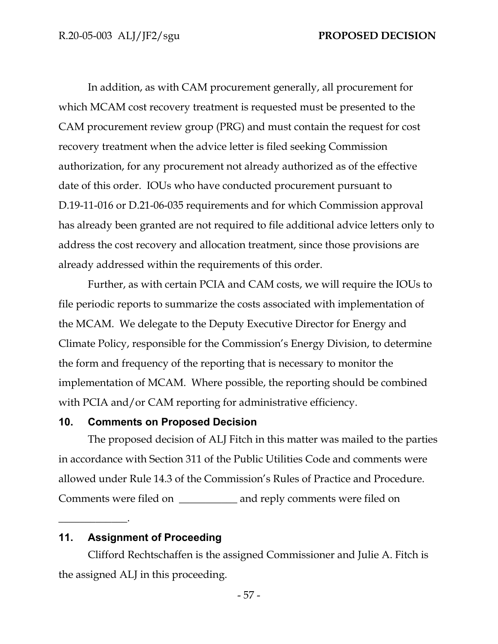In addition, as with CAM procurement generally, all procurement for which MCAM cost recovery treatment is requested must be presented to the CAM procurement review group (PRG) and must contain the request for cost recovery treatment when the advice letter is filed seeking Commission authorization, for any procurement not already authorized as of the effective date of this order. IOUs who have conducted procurement pursuant to D.19-11-016 or D.21-06-035 requirements and for which Commission approval has already been granted are not required to file additional advice letters only to address the cost recovery and allocation treatment, since those provisions are already addressed within the requirements of this order.

Further, as with certain PCIA and CAM costs, we will require the IOUs to file periodic reports to summarize the costs associated with implementation of the MCAM. We delegate to the Deputy Executive Director for Energy and Climate Policy, responsible for the Commission's Energy Division, to determine the form and frequency of the reporting that is necessary to monitor the implementation of MCAM. Where possible, the reporting should be combined with PCIA and/or CAM reporting for administrative efficiency.

### **10. Comments on Proposed Decision**

The proposed decision of ALJ Fitch in this matter was mailed to the parties in accordance with Section 311 of the Public Utilities Code and comments were allowed under Rule 14.3 of the Commission's Rules of Practice and Procedure. Comments were filed on \_\_\_\_\_\_\_\_\_\_\_ and reply comments were filed on

## **11. Assignment of Proceeding**

 $\overline{\phantom{a}}$  . The same set of  $\overline{\phantom{a}}$  ,  $\overline{\phantom{a}}$  ,  $\overline{\phantom{a}}$  ,  $\overline{\phantom{a}}$  ,  $\overline{\phantom{a}}$  ,  $\overline{\phantom{a}}$  ,  $\overline{\phantom{a}}$  ,  $\overline{\phantom{a}}$  ,  $\overline{\phantom{a}}$  ,  $\overline{\phantom{a}}$  ,  $\overline{\phantom{a}}$  ,  $\overline{\phantom{a}}$  ,  $\overline{\phantom{a}}$  ,  $\overline{\phantom{a$ 

Clifford Rechtschaffen is the assigned Commissioner and Julie A. Fitch is the assigned ALJ in this proceeding.

- 57 -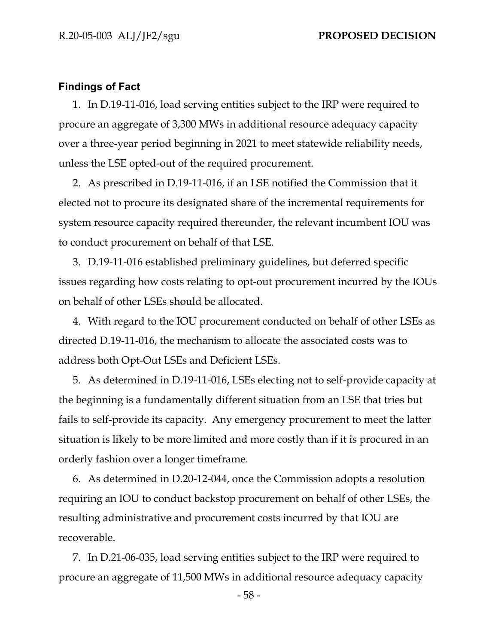#### **Findings of Fact**

1. In D.19-11-016, load serving entities subject to the IRP were required to procure an aggregate of 3,300 MWs in additional resource adequacy capacity over a three-year period beginning in 2021 to meet statewide reliability needs, unless the LSE opted-out of the required procurement.

2. As prescribed in D.19-11-016, if an LSE notified the Commission that it elected not to procure its designated share of the incremental requirements for system resource capacity required thereunder, the relevant incumbent IOU was to conduct procurement on behalf of that LSE.

3. D.19-11-016 established preliminary guidelines, but deferred specific issues regarding how costs relating to opt-out procurement incurred by the IOUs on behalf of other LSEs should be allocated.

4. With regard to the IOU procurement conducted on behalf of other LSEs as directed D.19-11-016, the mechanism to allocate the associated costs was to address both Opt-Out LSEs and Deficient LSEs.

5. As determined in D.19-11-016, LSEs electing not to self-provide capacity at the beginning is a fundamentally different situation from an LSE that tries but fails to self-provide its capacity. Any emergency procurement to meet the latter situation is likely to be more limited and more costly than if it is procured in an orderly fashion over a longer timeframe.

6. As determined in D.20-12-044, once the Commission adopts a resolution requiring an IOU to conduct backstop procurement on behalf of other LSEs, the resulting administrative and procurement costs incurred by that IOU are recoverable.

7. In D.21-06-035, load serving entities subject to the IRP were required to procure an aggregate of 11,500 MWs in additional resource adequacy capacity

- 58 -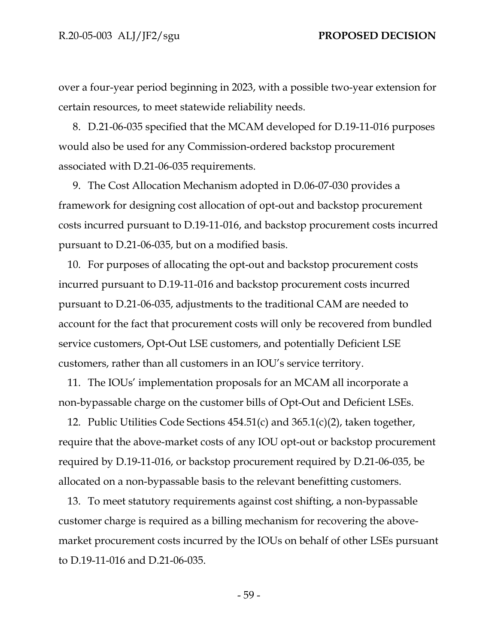over a four-year period beginning in 2023, with a possible two-year extension for certain resources, to meet statewide reliability needs.

8. D.21-06-035 specified that the MCAM developed for D.19-11-016 purposes would also be used for any Commission-ordered backstop procurement associated with D.21-06-035 requirements.

9. The Cost Allocation Mechanism adopted in D.06-07-030 provides a framework for designing cost allocation of opt-out and backstop procurement costs incurred pursuant to D.19-11-016, and backstop procurement costs incurred pursuant to D.21-06-035, but on a modified basis.

10. For purposes of allocating the opt-out and backstop procurement costs incurred pursuant to D.19-11-016 and backstop procurement costs incurred pursuant to D.21-06-035, adjustments to the traditional CAM are needed to account for the fact that procurement costs will only be recovered from bundled service customers, Opt-Out LSE customers, and potentially Deficient LSE customers, rather than all customers in an IOU's service territory.

11. The IOUs' implementation proposals for an MCAM all incorporate a non-bypassable charge on the customer bills of Opt-Out and Deficient LSEs.

12. Public Utilities Code Sections 454.51(c) and 365.1(c)(2), taken together, require that the above-market costs of any IOU opt-out or backstop procurement required by D.19-11-016, or backstop procurement required by D.21-06-035, be allocated on a non-bypassable basis to the relevant benefitting customers.

13. To meet statutory requirements against cost shifting, a non-bypassable customer charge is required as a billing mechanism for recovering the abovemarket procurement costs incurred by the IOUs on behalf of other LSEs pursuant to D.19-11-016 and D.21-06-035.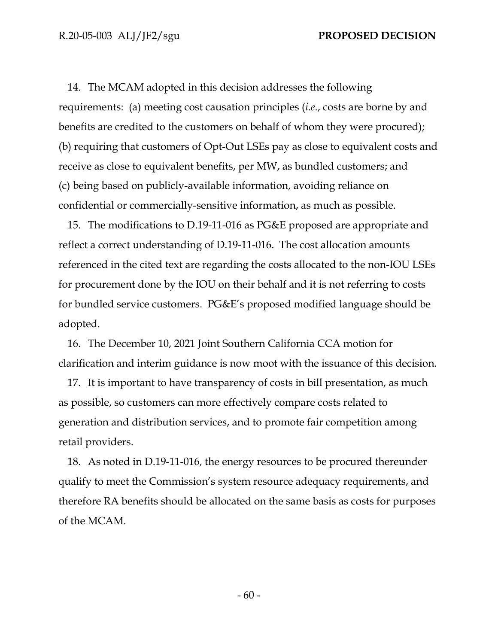14. The MCAM adopted in this decision addresses the following requirements: (a) meeting cost causation principles (*i.e*., costs are borne by and benefits are credited to the customers on behalf of whom they were procured); (b) requiring that customers of Opt-Out LSEs pay as close to equivalent costs and receive as close to equivalent benefits, per MW, as bundled customers; and (c) being based on publicly-available information, avoiding reliance on confidential or commercially-sensitive information, as much as possible.

15. The modifications to D.19-11-016 as PG&E proposed are appropriate and reflect a correct understanding of D.19-11-016. The cost allocation amounts referenced in the cited text are regarding the costs allocated to the non-IOU LSEs for procurement done by the IOU on their behalf and it is not referring to costs for bundled service customers. PG&E's proposed modified language should be adopted.

16. The December 10, 2021 Joint Southern California CCA motion for clarification and interim guidance is now moot with the issuance of this decision.

17. It is important to have transparency of costs in bill presentation, as much as possible, so customers can more effectively compare costs related to generation and distribution services, and to promote fair competition among retail providers.

18. As noted in D.19-11-016, the energy resources to be procured thereunder qualify to meet the Commission's system resource adequacy requirements, and therefore RA benefits should be allocated on the same basis as costs for purposes of the MCAM.

- 60 -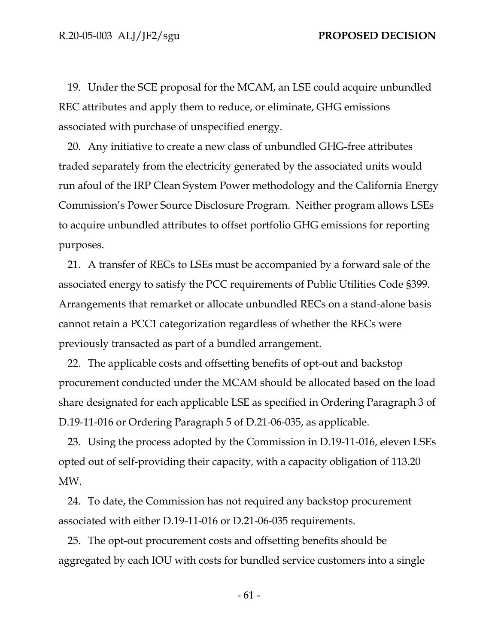19. Under the SCE proposal for the MCAM, an LSE could acquire unbundled REC attributes and apply them to reduce, or eliminate, GHG emissions associated with purchase of unspecified energy.

20. Any initiative to create a new class of unbundled GHG-free attributes traded separately from the electricity generated by the associated units would run afoul of the IRP Clean System Power methodology and the California Energy Commission's Power Source Disclosure Program. Neither program allows LSEs to acquire unbundled attributes to offset portfolio GHG emissions for reporting purposes.

21. A transfer of RECs to LSEs must be accompanied by a forward sale of the associated energy to satisfy the PCC requirements of Public Utilities Code §399. Arrangements that remarket or allocate unbundled RECs on a stand-alone basis cannot retain a PCC1 categorization regardless of whether the RECs were previously transacted as part of a bundled arrangement.

22. The applicable costs and offsetting benefits of opt-out and backstop procurement conducted under the MCAM should be allocated based on the load share designated for each applicable LSE as specified in Ordering Paragraph 3 of D.19-11-016 or Ordering Paragraph 5 of D.21-06-035, as applicable.

23. Using the process adopted by the Commission in D.19-11-016, eleven LSEs opted out of self-providing their capacity, with a capacity obligation of 113.20 MW.

24. To date, the Commission has not required any backstop procurement associated with either D.19-11-016 or D.21-06-035 requirements.

25. The opt-out procurement costs and offsetting benefits should be aggregated by each IOU with costs for bundled service customers into a single

- 61 -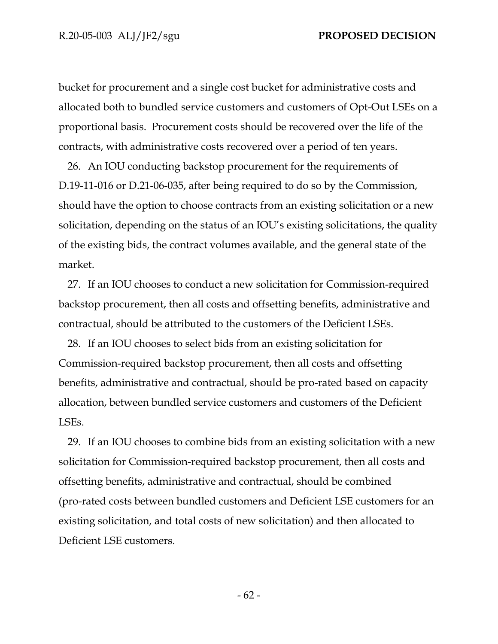bucket for procurement and a single cost bucket for administrative costs and allocated both to bundled service customers and customers of Opt-Out LSEs on a proportional basis. Procurement costs should be recovered over the life of the contracts, with administrative costs recovered over a period of ten years.

26. An IOU conducting backstop procurement for the requirements of D.19-11-016 or D.21-06-035, after being required to do so by the Commission, should have the option to choose contracts from an existing solicitation or a new solicitation, depending on the status of an IOU's existing solicitations, the quality of the existing bids, the contract volumes available, and the general state of the market.

27. If an IOU chooses to conduct a new solicitation for Commission-required backstop procurement, then all costs and offsetting benefits, administrative and contractual, should be attributed to the customers of the Deficient LSEs.

28. If an IOU chooses to select bids from an existing solicitation for Commission-required backstop procurement, then all costs and offsetting benefits, administrative and contractual, should be pro-rated based on capacity allocation, between bundled service customers and customers of the Deficient LSEs.

29. If an IOU chooses to combine bids from an existing solicitation with a new solicitation for Commission-required backstop procurement, then all costs and offsetting benefits, administrative and contractual, should be combined (pro-rated costs between bundled customers and Deficient LSE customers for an existing solicitation, and total costs of new solicitation) and then allocated to Deficient LSE customers.

- 62 -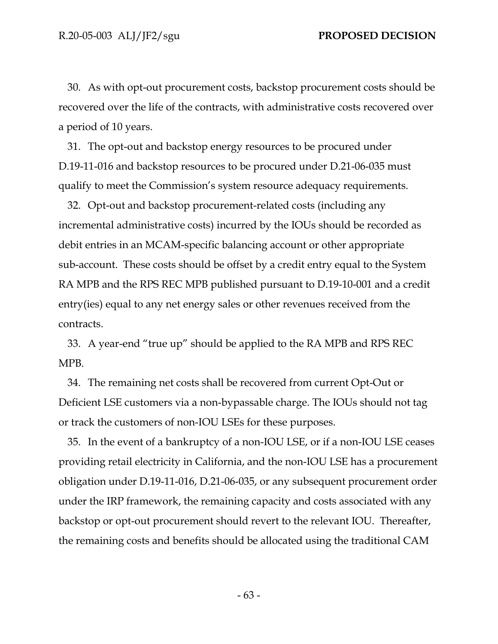30. As with opt-out procurement costs, backstop procurement costs should be recovered over the life of the contracts, with administrative costs recovered over a period of 10 years.

31. The opt-out and backstop energy resources to be procured under D.19-11-016 and backstop resources to be procured under D.21-06-035 must qualify to meet the Commission's system resource adequacy requirements.

32. Opt-out and backstop procurement-related costs (including any incremental administrative costs) incurred by the IOUs should be recorded as debit entries in an MCAM-specific balancing account or other appropriate sub-account. These costs should be offset by a credit entry equal to the System RA MPB and the RPS REC MPB published pursuant to D.19-10-001 and a credit entry(ies) equal to any net energy sales or other revenues received from the contracts.

33. A year-end "true up" should be applied to the RA MPB and RPS REC MPB.

34. The remaining net costs shall be recovered from current Opt-Out or Deficient LSE customers via a non-bypassable charge. The IOUs should not tag or track the customers of non-IOU LSEs for these purposes.

35. In the event of a bankruptcy of a non-IOU LSE, or if a non-IOU LSE ceases providing retail electricity in California, and the non-IOU LSE has a procurement obligation under D.19-11-016, D.21-06-035, or any subsequent procurement order under the IRP framework, the remaining capacity and costs associated with any backstop or opt-out procurement should revert to the relevant IOU. Thereafter, the remaining costs and benefits should be allocated using the traditional CAM

- 63 -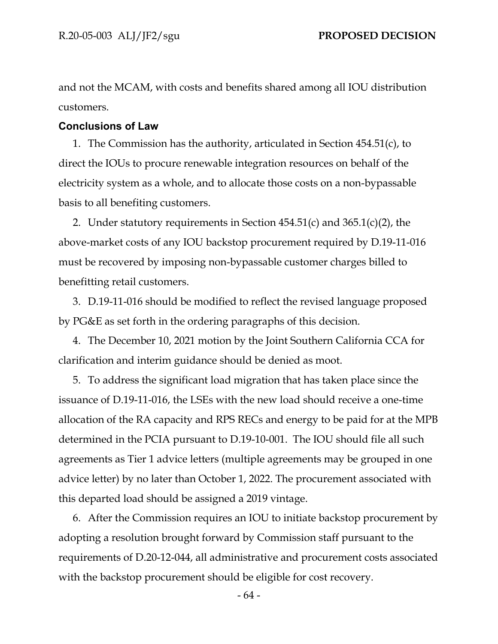and not the MCAM, with costs and benefits shared among all IOU distribution customers.

## **Conclusions of Law**

1. The Commission has the authority, articulated in Section 454.51(c), to direct the IOUs to procure renewable integration resources on behalf of the electricity system as a whole, and to allocate those costs on a non-bypassable basis to all benefiting customers.

2. Under statutory requirements in Section  $454.51(c)$  and  $365.1(c)(2)$ , the above-market costs of any IOU backstop procurement required by D.19-11-016 must be recovered by imposing non-bypassable customer charges billed to benefitting retail customers.

3. D.19-11-016 should be modified to reflect the revised language proposed by PG&E as set forth in the ordering paragraphs of this decision.

4. The December 10, 2021 motion by the Joint Southern California CCA for clarification and interim guidance should be denied as moot.

5. To address the significant load migration that has taken place since the issuance of D.19-11-016, the LSEs with the new load should receive a one-time allocation of the RA capacity and RPS RECs and energy to be paid for at the MPB determined in the PCIA pursuant to D.19-10-001. The IOU should file all such agreements as Tier 1 advice letters (multiple agreements may be grouped in one advice letter) by no later than October 1, 2022. The procurement associated with this departed load should be assigned a 2019 vintage.

6. After the Commission requires an IOU to initiate backstop procurement by adopting a resolution brought forward by Commission staff pursuant to the requirements of D.20-12-044, all administrative and procurement costs associated with the backstop procurement should be eligible for cost recovery.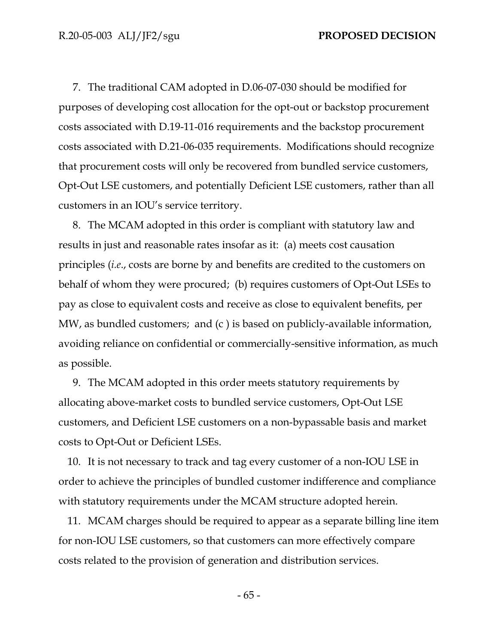7. The traditional CAM adopted in D.06-07-030 should be modified for purposes of developing cost allocation for the opt-out or backstop procurement costs associated with D.19-11-016 requirements and the backstop procurement costs associated with D.21-06-035 requirements. Modifications should recognize that procurement costs will only be recovered from bundled service customers, Opt-Out LSE customers, and potentially Deficient LSE customers, rather than all customers in an IOU's service territory.

8. The MCAM adopted in this order is compliant with statutory law and results in just and reasonable rates insofar as it: (a) meets cost causation principles (*i.e*., costs are borne by and benefits are credited to the customers on behalf of whom they were procured; (b) requires customers of Opt-Out LSEs to pay as close to equivalent costs and receive as close to equivalent benefits, per MW, as bundled customers; and (c ) is based on publicly-available information, avoiding reliance on confidential or commercially-sensitive information, as much as possible.

9. The MCAM adopted in this order meets statutory requirements by allocating above-market costs to bundled service customers, Opt-Out LSE customers, and Deficient LSE customers on a non-bypassable basis and market costs to Opt-Out or Deficient LSEs.

10. It is not necessary to track and tag every customer of a non-IOU LSE in order to achieve the principles of bundled customer indifference and compliance with statutory requirements under the MCAM structure adopted herein.

11. MCAM charges should be required to appear as a separate billing line item for non-IOU LSE customers, so that customers can more effectively compare costs related to the provision of generation and distribution services.

- 65 -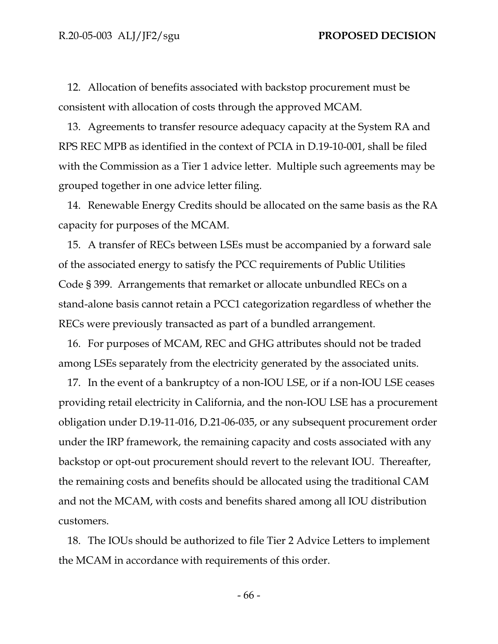12. Allocation of benefits associated with backstop procurement must be consistent with allocation of costs through the approved MCAM.

13. Agreements to transfer resource adequacy capacity at the System RA and RPS REC MPB as identified in the context of PCIA in D.19-10-001, shall be filed with the Commission as a Tier 1 advice letter. Multiple such agreements may be grouped together in one advice letter filing.

14. Renewable Energy Credits should be allocated on the same basis as the RA capacity for purposes of the MCAM.

15. A transfer of RECs between LSEs must be accompanied by a forward sale of the associated energy to satisfy the PCC requirements of Public Utilities Code § 399. Arrangements that remarket or allocate unbundled RECs on a stand-alone basis cannot retain a PCC1 categorization regardless of whether the RECs were previously transacted as part of a bundled arrangement.

16. For purposes of MCAM, REC and GHG attributes should not be traded among LSEs separately from the electricity generated by the associated units.

17. In the event of a bankruptcy of a non-IOU LSE, or if a non-IOU LSE ceases providing retail electricity in California, and the non-IOU LSE has a procurement obligation under D.19-11-016, D.21-06-035, or any subsequent procurement order under the IRP framework, the remaining capacity and costs associated with any backstop or opt-out procurement should revert to the relevant IOU. Thereafter, the remaining costs and benefits should be allocated using the traditional CAM and not the MCAM, with costs and benefits shared among all IOU distribution customers.

18. The IOUs should be authorized to file Tier 2 Advice Letters to implement the MCAM in accordance with requirements of this order.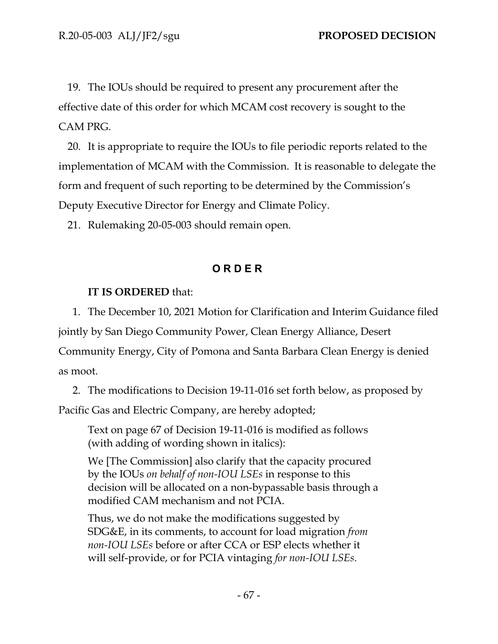19. The IOUs should be required to present any procurement after the effective date of this order for which MCAM cost recovery is sought to the CAM PRG.

20. It is appropriate to require the IOUs to file periodic reports related to the implementation of MCAM with the Commission. It is reasonable to delegate the form and frequent of such reporting to be determined by the Commission's Deputy Executive Director for Energy and Climate Policy.

21. Rulemaking 20-05-003 should remain open.

# **O R D E R**

# **IT IS ORDERED** that:

1. The December 10, 2021 Motion for Clarification and Interim Guidance filed

jointly by San Diego Community Power, Clean Energy Alliance, Desert

Community Energy, City of Pomona and Santa Barbara Clean Energy is denied as moot.

2. The modifications to Decision 19-11-016 set forth below, as proposed by

Pacific Gas and Electric Company, are hereby adopted;

Text on page 67 of Decision 19-11-016 is modified as follows (with adding of wording shown in italics):

We [The Commission] also clarify that the capacity procured by the IOUs *on behalf of non-IOU LSEs* in response to this decision will be allocated on a non-bypassable basis through a modified CAM mechanism and not PCIA.

Thus, we do not make the modifications suggested by SDG&E, in its comments, to account for load migration *from non-IOU LSEs* before or after CCA or ESP elects whether it will self-provide, or for PCIA vintaging *for non-IOU LSEs*.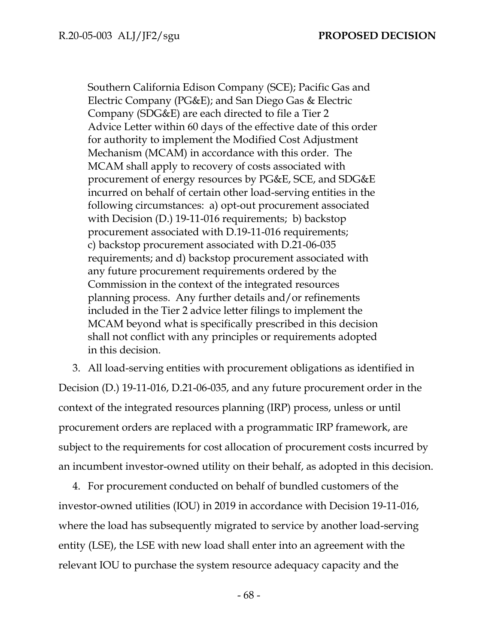Southern California Edison Company (SCE); Pacific Gas and Electric Company (PG&E); and San Diego Gas & Electric Company (SDG&E) are each directed to file a Tier 2 Advice Letter within 60 days of the effective date of this order for authority to implement the Modified Cost Adjustment Mechanism (MCAM) in accordance with this order. The MCAM shall apply to recovery of costs associated with procurement of energy resources by PG&E, SCE, and SDG&E incurred on behalf of certain other load-serving entities in the following circumstances: a) opt-out procurement associated with Decision (D.) 19-11-016 requirements; b) backstop procurement associated with D.19-11-016 requirements; c) backstop procurement associated with D.21-06-035 requirements; and d) backstop procurement associated with any future procurement requirements ordered by the Commission in the context of the integrated resources planning process. Any further details and/or refinements included in the Tier 2 advice letter filings to implement the MCAM beyond what is specifically prescribed in this decision shall not conflict with any principles or requirements adopted in this decision.

3. All load-serving entities with procurement obligations as identified in Decision (D.) 19-11-016, D.21-06-035, and any future procurement order in the context of the integrated resources planning (IRP) process, unless or until procurement orders are replaced with a programmatic IRP framework, are subject to the requirements for cost allocation of procurement costs incurred by an incumbent investor-owned utility on their behalf, as adopted in this decision.

4. For procurement conducted on behalf of bundled customers of the investor-owned utilities (IOU) in 2019 in accordance with Decision 19-11-016, where the load has subsequently migrated to service by another load-serving entity (LSE), the LSE with new load shall enter into an agreement with the relevant IOU to purchase the system resource adequacy capacity and the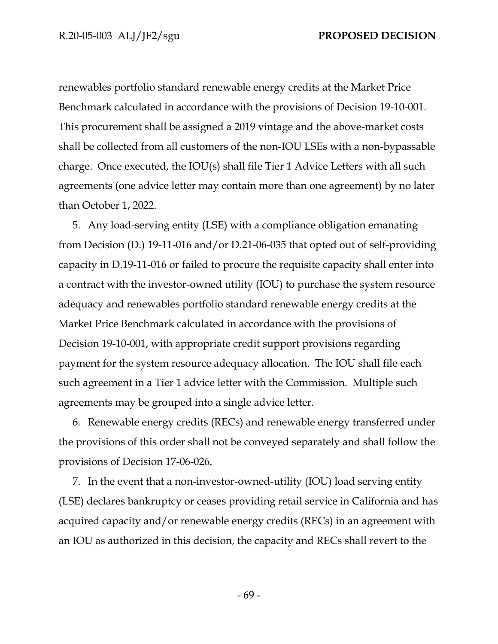renewables portfolio standard renewable energy credits at the Market Price Benchmark calculated in accordance with the provisions of Decision 19-10-001. This procurement shall be assigned a 2019 vintage and the above-market costs shall be collected from all customers of the non-IOU LSEs with a non-bypassable charge. Once executed, the IOU(s) shall file Tier 1 Advice Letters with all such agreements (one advice letter may contain more than one agreement) by no later than October 1, 2022.

5. Any load-serving entity (LSE) with a compliance obligation emanating from Decision (D.) 19-11-016 and/or D.21-06-035 that opted out of self-providing capacity in D.19-11-016 or failed to procure the requisite capacity shall enter into a contract with the investor-owned utility (IOU) to purchase the system resource adequacy and renewables portfolio standard renewable energy credits at the Market Price Benchmark calculated in accordance with the provisions of Decision 19-10-001, with appropriate credit support provisions regarding payment for the system resource adequacy allocation. The IOU shall file each such agreement in a Tier 1 advice letter with the Commission. Multiple such agreements may be grouped into a single advice letter.

6. Renewable energy credits (RECs) and renewable energy transferred under the provisions of this order shall not be conveyed separately and shall follow the provisions of Decision 17-06-026.

7. In the event that a non-investor-owned-utility (IOU) load serving entity (LSE) declares bankruptcy or ceases providing retail service in California and has acquired capacity and/or renewable energy credits (RECs) in an agreement with an IOU as authorized in this decision, the capacity and RECs shall revert to the

- 69 -